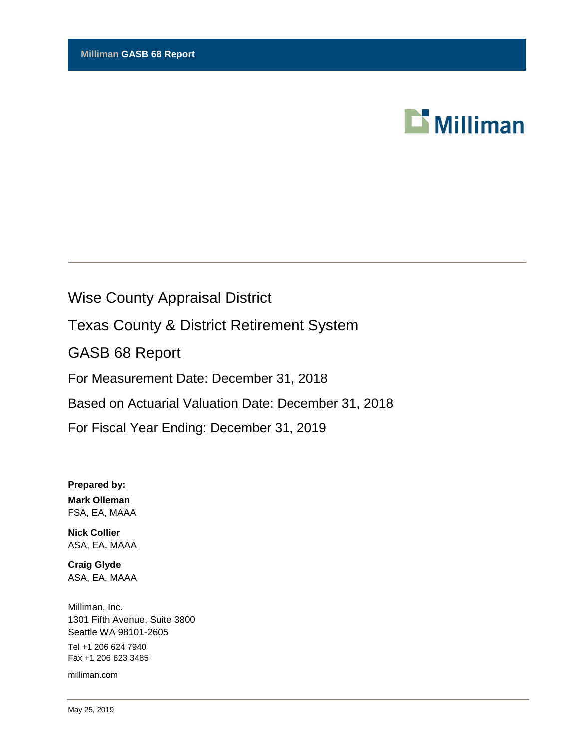

# Wise County Appraisal District

Texas County & District Retirement System

GASB 68 Report

For Measurement Date: December 31, 2018

Based on Actuarial Valuation Date: December 31, 2018

For Fiscal Year Ending: December 31, 2019

**Prepared by: Mark Olleman** FSA, EA, MAAA

**Nick Collier** ASA, EA, MAAA

**Craig Glyde** ASA, EA, MAAA

Milliman, Inc. 1301 Fifth Avenue, Suite 3800 Seattle WA 98101-2605 Tel +1 206 624 7940 Fax +1 206 623 3485

milliman.com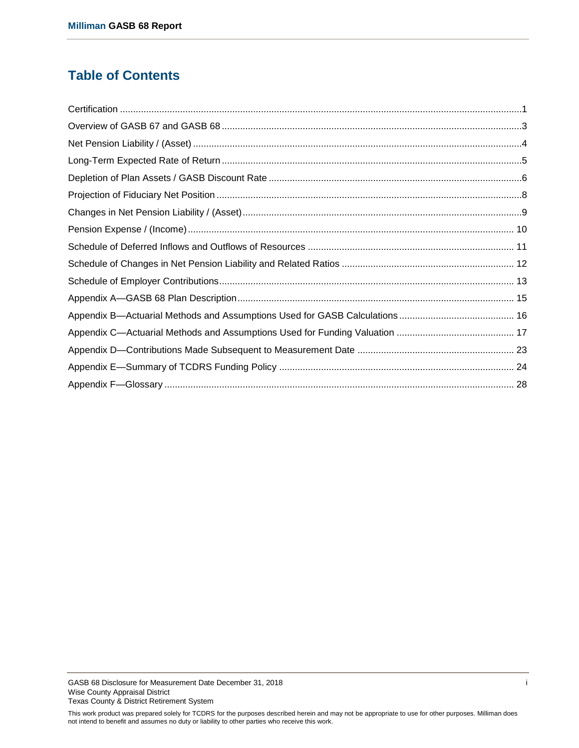# **Table of Contents**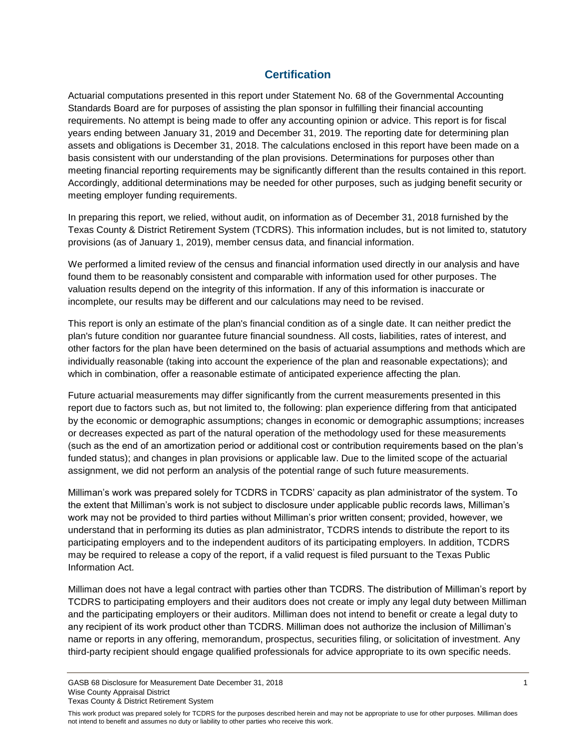# **Certification**

<span id="page-2-0"></span>Actuarial computations presented in this report under Statement No. 68 of the Governmental Accounting Standards Board are for purposes of assisting the plan sponsor in fulfilling their financial accounting requirements. No attempt is being made to offer any accounting opinion or advice. This report is for fiscal years ending between January 31, 2019 and December 31, 2019. The reporting date for determining plan assets and obligations is December 31, 2018. The calculations enclosed in this report have been made on a basis consistent with our understanding of the plan provisions. Determinations for purposes other than meeting financial reporting requirements may be significantly different than the results contained in this report. Accordingly, additional determinations may be needed for other purposes, such as judging benefit security or meeting employer funding requirements.

In preparing this report, we relied, without audit, on information as of December 31, 2018 furnished by the Texas County & District Retirement System (TCDRS). This information includes, but is not limited to, statutory provisions (as of January 1, 2019), member census data, and financial information.

We performed a limited review of the census and financial information used directly in our analysis and have found them to be reasonably consistent and comparable with information used for other purposes. The valuation results depend on the integrity of this information. If any of this information is inaccurate or incomplete, our results may be different and our calculations may need to be revised.

This report is only an estimate of the plan's financial condition as of a single date. It can neither predict the plan's future condition nor guarantee future financial soundness. All costs, liabilities, rates of interest, and other factors for the plan have been determined on the basis of actuarial assumptions and methods which are individually reasonable (taking into account the experience of the plan and reasonable expectations); and which in combination, offer a reasonable estimate of anticipated experience affecting the plan.

Future actuarial measurements may differ significantly from the current measurements presented in this report due to factors such as, but not limited to, the following: plan experience differing from that anticipated by the economic or demographic assumptions; changes in economic or demographic assumptions; increases or decreases expected as part of the natural operation of the methodology used for these measurements (such as the end of an amortization period or additional cost or contribution requirements based on the plan's funded status); and changes in plan provisions or applicable law. Due to the limited scope of the actuarial assignment, we did not perform an analysis of the potential range of such future measurements.

Milliman's work was prepared solely for TCDRS in TCDRS' capacity as plan administrator of the system. To the extent that Milliman's work is not subject to disclosure under applicable public records laws, Milliman's work may not be provided to third parties without Milliman's prior written consent; provided, however, we understand that in performing its duties as plan administrator, TCDRS intends to distribute the report to its participating employers and to the independent auditors of its participating employers. In addition, TCDRS may be required to release a copy of the report, if a valid request is filed pursuant to the Texas Public Information Act.

Milliman does not have a legal contract with parties other than TCDRS. The distribution of Milliman's report by TCDRS to participating employers and their auditors does not create or imply any legal duty between Milliman and the participating employers or their auditors. Milliman does not intend to benefit or create a legal duty to any recipient of its work product other than TCDRS. Milliman does not authorize the inclusion of Milliman's name or reports in any offering, memorandum, prospectus, securities filing, or solicitation of investment. Any third-party recipient should engage qualified professionals for advice appropriate to its own specific needs.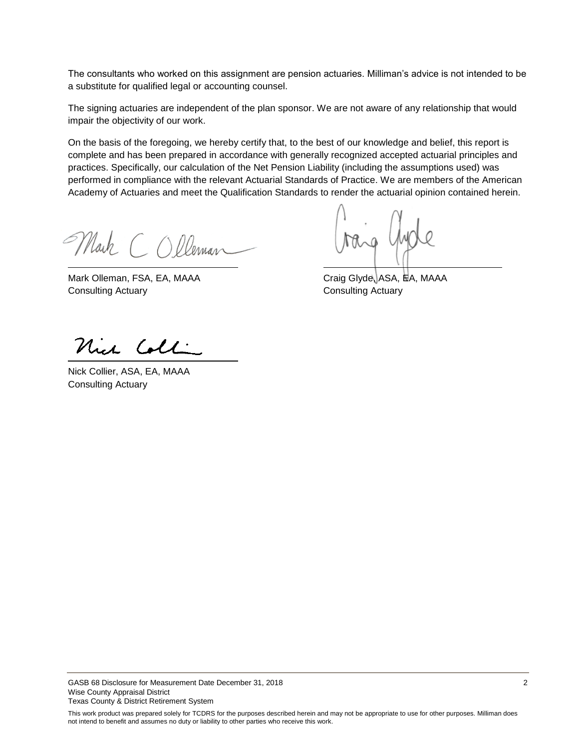The consultants who worked on this assignment are pension actuaries. Milliman's advice is not intended to be a substitute for qualified legal or accounting counsel.

The signing actuaries are independent of the plan sponsor. We are not aware of any relationship that would impair the objectivity of our work.

On the basis of the foregoing, we hereby certify that, to the best of our knowledge and belief, this report is complete and has been prepared in accordance with generally recognized accepted actuarial principles and practices. Specifically, our calculation of the Net Pension Liability (including the assumptions used) was performed in compliance with the relevant Actuarial Standards of Practice. We are members of the American Academy of Actuaries and meet the Qualification Standards to render the actuarial opinion contained herein.

Mark COlleman

Mark Olleman, FSA, EA, MAAA Craig Glyde, ASA, HA, MAAA **Consulting Actuary Consulting Actuary** 

Nich Coll

Nick Collier, ASA, EA, MAAA Consulting Actuary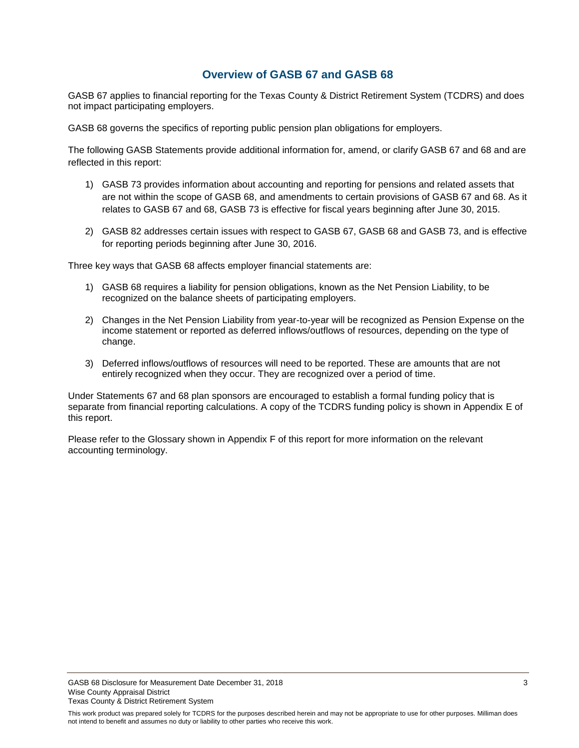## **Overview of GASB 67 and GASB 68**

<span id="page-4-0"></span>GASB 67 applies to financial reporting for the Texas County & District Retirement System (TCDRS) and does not impact participating employers.

GASB 68 governs the specifics of reporting public pension plan obligations for employers.

The following GASB Statements provide additional information for, amend, or clarify GASB 67 and 68 and are reflected in this report:

- 1) GASB 73 provides information about accounting and reporting for pensions and related assets that are not within the scope of GASB 68, and amendments to certain provisions of GASB 67 and 68. As it relates to GASB 67 and 68, GASB 73 is effective for fiscal years beginning after June 30, 2015.
- 2) GASB 82 addresses certain issues with respect to GASB 67, GASB 68 and GASB 73, and is effective for reporting periods beginning after June 30, 2016.

Three key ways that GASB 68 affects employer financial statements are:

- 1) GASB 68 requires a liability for pension obligations, known as the Net Pension Liability, to be recognized on the balance sheets of participating employers.
- 2) Changes in the Net Pension Liability from year-to-year will be recognized as Pension Expense on the income statement or reported as deferred inflows/outflows of resources, depending on the type of change.
- 3) Deferred inflows/outflows of resources will need to be reported. These are amounts that are not entirely recognized when they occur. They are recognized over a period of time.

Under Statements 67 and 68 plan sponsors are encouraged to establish a formal funding policy that is separate from financial reporting calculations. A copy of the TCDRS funding policy is shown in Appendix E of this report.

Please refer to the Glossary shown in Appendix F of this report for more information on the relevant accounting terminology.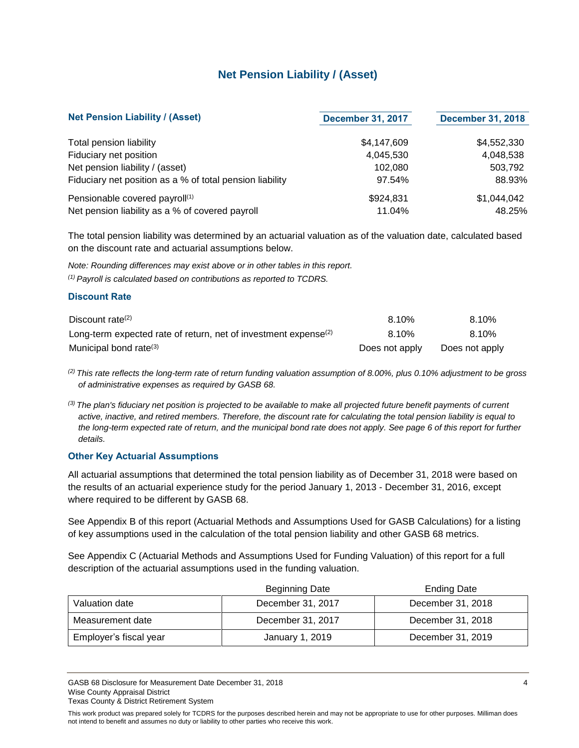# **Net Pension Liability / (Asset)**

<span id="page-5-0"></span>

| <b>Net Pension Liability / (Asset)</b>                   | <b>December 31, 2017</b> | <b>December 31, 2018</b> |
|----------------------------------------------------------|--------------------------|--------------------------|
| <b>Total pension liability</b>                           | \$4,147,609              | \$4,552,330              |
| Fiduciary net position                                   | 4,045,530                | 4,048,538                |
| Net pension liability / (asset)                          | 102.080                  | 503,792                  |
| Fiduciary net position as a % of total pension liability | 97.54%                   | 88.93%                   |
| Pensionable covered payroll <sup>(1)</sup>               | \$924,831                | \$1,044,042              |
| Net pension liability as a % of covered payroll          | 11.04%                   | 48.25%                   |

The total pension liability was determined by an actuarial valuation as of the valuation date, calculated based on the discount rate and actuarial assumptions below.

*Note: Rounding differences may exist above or in other tables in this report. (1) Payroll is calculated based on contributions as reported to TCDRS.*

#### **Discount Rate**

| Discount rate <sup>(2)</sup>                                                | 8.10%          | 8.10%          |
|-----------------------------------------------------------------------------|----------------|----------------|
| Long-term expected rate of return, net of investment expense <sup>(2)</sup> | 8.10%          | 8.10%          |
| Municipal bond rate <sup>(3)</sup>                                          | Does not apply | Does not apply |

*(2) This rate reflects the long-term rate of return funding valuation assumption of 8.00%, plus 0.10% adjustment to be gross of administrative expenses as required by GASB 68.*

*(3) The plan's fiduciary net position is projected to be available to make all projected future benefit payments of current active, inactive, and retired members. Therefore, the discount rate for calculating the total pension liability is equal to the long-term expected rate of return, and the municipal bond rate does not apply. See page 6 of this report for further details.*

#### **Other Key Actuarial Assumptions**

All actuarial assumptions that determined the total pension liability as of December 31, 2018 were based on the results of an actuarial experience study for the period January 1, 2013 - December 31, 2016, except where required to be different by GASB 68.

See Appendix B of this report (Actuarial Methods and Assumptions Used for GASB Calculations) for a listing of key assumptions used in the calculation of the total pension liability and other GASB 68 metrics.

See Appendix C (Actuarial Methods and Assumptions Used for Funding Valuation) of this report for a full description of the actuarial assumptions used in the funding valuation.

|                        | <b>Beginning Date</b> | <b>Ending Date</b> |
|------------------------|-----------------------|--------------------|
| Valuation date         | December 31, 2017     | December 31, 2018  |
| Measurement date       | December 31, 2017     | December 31, 2018  |
| Employer's fiscal year | January 1, 2019       | December 31, 2019  |

GASB 68 Disclosure for Measurement Date December 31, 2018 4 American control of the USA and the USA and the USA and the USA and the USA and the USA and the USA and the USA and the USA and the USA and the USA and the USA an Wise County Appraisal District Texas County & District Retirement System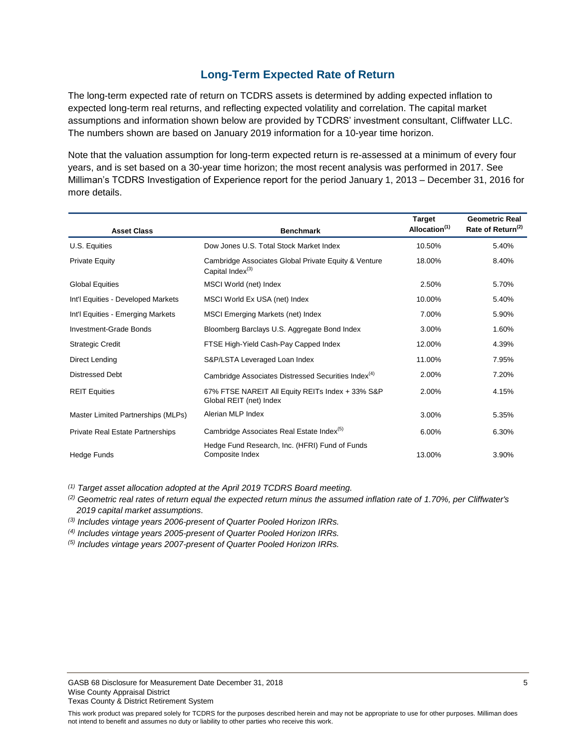### **Long-Term Expected Rate of Return**

<span id="page-6-0"></span>The long-term expected rate of return on TCDRS assets is determined by adding expected inflation to expected long-term real returns, and reflecting expected volatility and correlation. The capital market assumptions and information shown below are provided by TCDRS' investment consultant, Cliffwater LLC. The numbers shown are based on January 2019 information for a 10-year time horizon.

Note that the valuation assumption for long-term expected return is re-assessed at a minimum of every four years, and is set based on a 30-year time horizon; the most recent analysis was performed in 2017. See Milliman's TCDRS Investigation of Experience report for the period January 1, 2013 – December 31, 2016 for more details.

| <b>Asset Class</b>                 | <b>Benchmark</b>                                                            | <b>Target</b><br>Allocation <sup>(1)</sup> | <b>Geometric Real</b><br>Rate of Return <sup>(2)</sup> |
|------------------------------------|-----------------------------------------------------------------------------|--------------------------------------------|--------------------------------------------------------|
| U.S. Equities                      | Dow Jones U.S. Total Stock Market Index                                     | 10.50%                                     | 5.40%                                                  |
| <b>Private Equity</b>              | Cambridge Associates Global Private Equity & Venture<br>Capital Index $(3)$ | 18.00%                                     | 8.40%                                                  |
| <b>Global Equities</b>             | MSCI World (net) Index                                                      | 2.50%                                      | 5.70%                                                  |
| Int'l Equities - Developed Markets | MSCI World Ex USA (net) Index                                               | 10.00%                                     | 5.40%                                                  |
| Int'l Equities - Emerging Markets  | MSCI Emerging Markets (net) Index                                           | 7.00%                                      | 5.90%                                                  |
| Investment-Grade Bonds             | Bloomberg Barclays U.S. Aggregate Bond Index                                | 3.00%                                      | 1.60%                                                  |
| <b>Strategic Credit</b>            | FTSE High-Yield Cash-Pay Capped Index                                       | 12.00%                                     | 4.39%                                                  |
| Direct Lending                     | S&P/LSTA Leveraged Loan Index                                               | 11.00%                                     | 7.95%                                                  |
| <b>Distressed Debt</b>             | Cambridge Associates Distressed Securities Index <sup>(4)</sup>             | 2.00%                                      | 7.20%                                                  |
| <b>REIT Equities</b>               | 67% FTSE NAREIT All Equity REITs Index + 33% S&P<br>Global REIT (net) Index | 2.00%                                      | 4.15%                                                  |
| Master Limited Partnerships (MLPs) | Alerian MLP Index                                                           | 3.00%                                      | 5.35%                                                  |
| Private Real Estate Partnerships   | Cambridge Associates Real Estate Index <sup>(5)</sup>                       | 6.00%                                      | 6.30%                                                  |
| <b>Hedge Funds</b>                 | Hedge Fund Research, Inc. (HFRI) Fund of Funds<br>Composite Index           | 13.00%                                     | 3.90%                                                  |

*(1) Target asset allocation adopted at the April 2019 TCDRS Board meeting.*

*(2) Geometric real rates of return equal the expected return minus the assumed inflation rate of 1.70%, per Cliffwater's 2019 capital market assumptions.*

*(3) Includes vintage years 2006-present of Quarter Pooled Horizon IRRs.*

*(4) Includes vintage years 2005-present of Quarter Pooled Horizon IRRs.*

*(5) Includes vintage years 2007-present of Quarter Pooled Horizon IRRs.*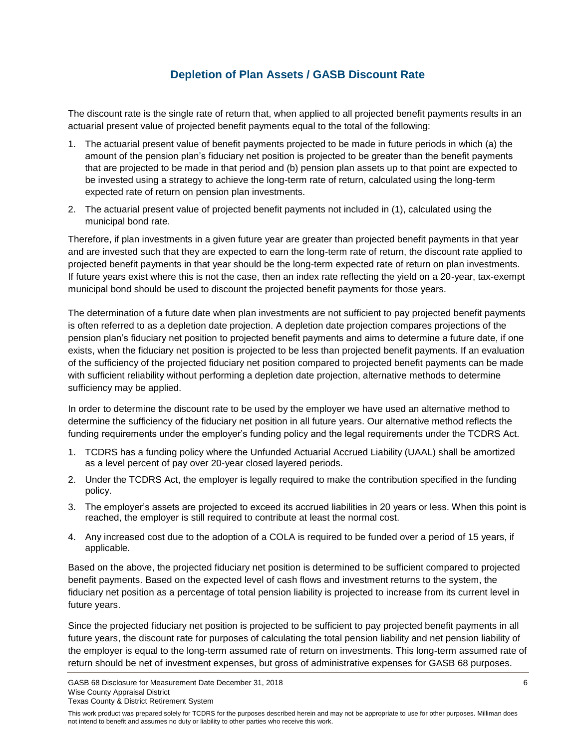# **Depletion of Plan Assets / GASB Discount Rate**

<span id="page-7-0"></span>The discount rate is the single rate of return that, when applied to all projected benefit payments results in an actuarial present value of projected benefit payments equal to the total of the following:

- 1. The actuarial present value of benefit payments projected to be made in future periods in which (a) the amount of the pension plan's fiduciary net position is projected to be greater than the benefit payments that are projected to be made in that period and (b) pension plan assets up to that point are expected to be invested using a strategy to achieve the long-term rate of return, calculated using the long-term expected rate of return on pension plan investments.
- 2. The actuarial present value of projected benefit payments not included in (1), calculated using the municipal bond rate.

Therefore, if plan investments in a given future year are greater than projected benefit payments in that year and are invested such that they are expected to earn the long-term rate of return, the discount rate applied to projected benefit payments in that year should be the long-term expected rate of return on plan investments. If future years exist where this is not the case, then an index rate reflecting the yield on a 20-year, tax-exempt municipal bond should be used to discount the projected benefit payments for those years.

The determination of a future date when plan investments are not sufficient to pay projected benefit payments is often referred to as a depletion date projection. A depletion date projection compares projections of the pension plan's fiduciary net position to projected benefit payments and aims to determine a future date, if one exists, when the fiduciary net position is projected to be less than projected benefit payments. If an evaluation of the sufficiency of the projected fiduciary net position compared to projected benefit payments can be made with sufficient reliability without performing a depletion date projection, alternative methods to determine sufficiency may be applied.

In order to determine the discount rate to be used by the employer we have used an alternative method to determine the sufficiency of the fiduciary net position in all future years. Our alternative method reflects the funding requirements under the employer's funding policy and the legal requirements under the TCDRS Act.

- 1. TCDRS has a funding policy where the Unfunded Actuarial Accrued Liability (UAAL) shall be amortized as a level percent of pay over 20-year closed layered periods.
- 2. Under the TCDRS Act, the employer is legally required to make the contribution specified in the funding policy.
- 3. The employer's assets are projected to exceed its accrued liabilities in 20 years or less. When this point is reached, the employer is still required to contribute at least the normal cost.
- 4. Any increased cost due to the adoption of a COLA is required to be funded over a period of 15 years, if applicable.

Based on the above, the projected fiduciary net position is determined to be sufficient compared to projected benefit payments. Based on the expected level of cash flows and investment returns to the system, the fiduciary net position as a percentage of total pension liability is projected to increase from its current level in future years.

Since the projected fiduciary net position is projected to be sufficient to pay projected benefit payments in all future years, the discount rate for purposes of calculating the total pension liability and net pension liability of the employer is equal to the long-term assumed rate of return on investments. This long-term assumed rate of return should be net of investment expenses, but gross of administrative expenses for GASB 68 purposes.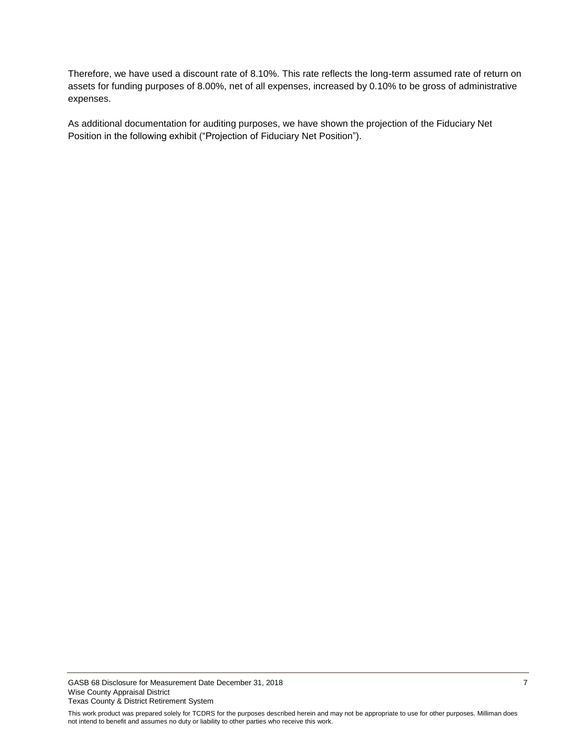Therefore, we have used a discount rate of 8.10%. This rate reflects the long-term assumed rate of return on assets for funding purposes of 8.00%, net of all expenses, increased by 0.10% to be gross of administrative expenses.

As additional documentation for auditing purposes, we have shown the projection of the Fiduciary Net Position in the following exhibit ("Projection of Fiduciary Net Position").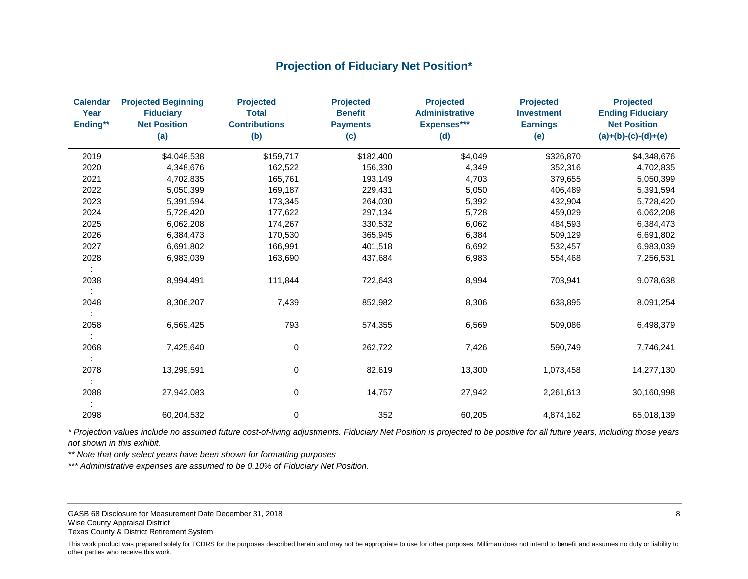# **Projection of Fiduciary Net Position\***

<span id="page-9-0"></span>

| <b>Calendar</b><br>Year<br>Ending** | <b>Projected Beginning</b><br><b>Fiduciary</b><br><b>Net Position</b><br>(a) | <b>Projected</b><br><b>Total</b><br><b>Contributions</b><br>(b) | <b>Projected</b><br><b>Benefit</b><br><b>Payments</b><br>(c) | <b>Projected</b><br><b>Administrative</b><br>Expenses***<br>(d) | <b>Projected</b><br><b>Investment</b><br><b>Earnings</b><br>(e) | <b>Projected</b><br><b>Ending Fiduciary</b><br><b>Net Position</b><br>$(a)+(b)-(c)-(d)+(e)$ |
|-------------------------------------|------------------------------------------------------------------------------|-----------------------------------------------------------------|--------------------------------------------------------------|-----------------------------------------------------------------|-----------------------------------------------------------------|---------------------------------------------------------------------------------------------|
| 2019                                | \$4,048,538                                                                  | \$159,717                                                       | \$182,400                                                    | \$4,049                                                         | \$326,870                                                       | \$4,348,676                                                                                 |
| 2020                                | 4,348,676                                                                    | 162,522                                                         | 156,330                                                      | 4,349                                                           | 352,316                                                         | 4,702,835                                                                                   |
| 2021                                | 4,702,835                                                                    | 165,761                                                         | 193,149                                                      | 4,703                                                           | 379,655                                                         | 5,050,399                                                                                   |
| 2022                                | 5,050,399                                                                    | 169,187                                                         | 229,431                                                      | 5,050                                                           | 406,489                                                         | 5,391,594                                                                                   |
| 2023                                | 5,391,594                                                                    | 173,345                                                         | 264,030                                                      | 5,392                                                           | 432,904                                                         | 5,728,420                                                                                   |
| 2024                                | 5,728,420                                                                    | 177,622                                                         | 297,134                                                      | 5,728                                                           | 459,029                                                         | 6,062,208                                                                                   |
| 2025                                | 6,062,208                                                                    | 174,267                                                         | 330,532                                                      | 6,062                                                           | 484,593                                                         | 6,384,473                                                                                   |
| 2026                                | 6,384,473                                                                    | 170,530                                                         | 365,945                                                      | 6,384                                                           | 509,129                                                         | 6,691,802                                                                                   |
| 2027                                | 6,691,802                                                                    | 166,991                                                         | 401,518                                                      | 6,692                                                           | 532,457                                                         | 6,983,039                                                                                   |
| 2028                                | 6,983,039                                                                    | 163,690                                                         | 437,684                                                      | 6,983                                                           | 554,468                                                         | 7,256,531                                                                                   |
| ÷<br>2038                           | 8,994,491                                                                    | 111,844                                                         | 722,643                                                      | 8,994                                                           | 703,941                                                         | 9,078,638                                                                                   |
| 2048                                | 8,306,207                                                                    | 7,439                                                           | 852,982                                                      | 8,306                                                           | 638,895                                                         | 8,091,254                                                                                   |
| 2058                                | 6,569,425                                                                    | 793                                                             | 574,355                                                      | 6,569                                                           | 509,086                                                         | 6,498,379                                                                                   |
| 2068                                | 7,425,640                                                                    | 0                                                               | 262,722                                                      | 7,426                                                           | 590,749                                                         | 7,746,241                                                                                   |
| 2078                                | 13,299,591                                                                   | 0                                                               | 82,619                                                       | 13,300                                                          | 1,073,458                                                       | 14,277,130                                                                                  |
| 2088                                | 27,942,083                                                                   | 0                                                               | 14,757                                                       | 27,942                                                          | 2,261,613                                                       | 30,160,998                                                                                  |
| 2098                                | 60,204,532                                                                   | 0                                                               | 352                                                          | 60,205                                                          | 4,874,162                                                       | 65,018,139                                                                                  |

*\* Projection values include no assumed future cost-of-living adjustments. Fiduciary Net Position is projected to be positive for all future years, including those years not shown in this exhibit.*

*\*\* Note that only select years have been shown for formatting purposes* 

*\*\*\* Administrative expenses are assumed to be 0.10% of Fiduciary Net Position.*

GASB 68 Disclosure for Measurement Date December 31, 2018 **8** 8 and 30 and 30 and 30 and 30 and 30 and 30 and 30 and 30 and 30 and 30 and 30 and 30 and 30 and 30 and 30 and 30 and 30 and 30 and 30 and 30 and 30 and 30 and Wise County Appraisal District Texas County & District Retirement System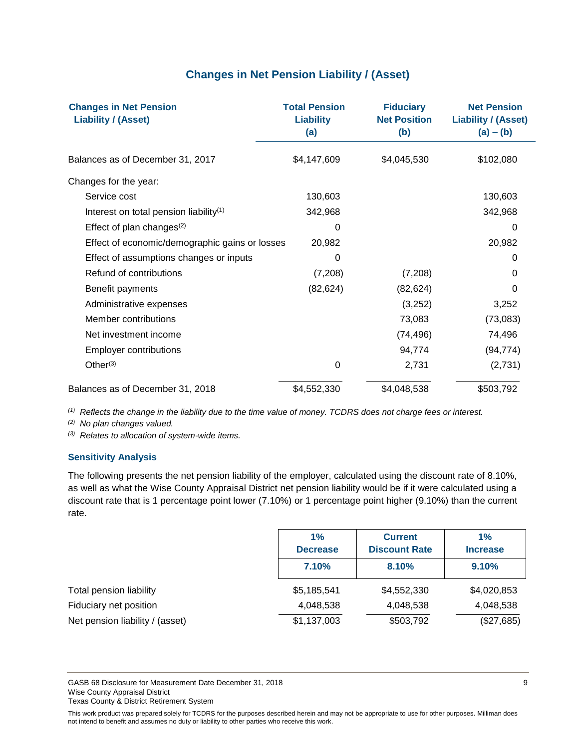# **Changes in Net Pension Liability / (Asset)**

<span id="page-10-0"></span>

| <b>Changes in Net Pension</b><br><b>Liability / (Asset)</b> | <b>Total Pension</b><br><b>Liability</b><br>(a) | <b>Fiduciary</b><br><b>Net Position</b><br>(b) | <b>Net Pension</b><br><b>Liability / (Asset)</b><br>$(a) - (b)$ |
|-------------------------------------------------------------|-------------------------------------------------|------------------------------------------------|-----------------------------------------------------------------|
| Balances as of December 31, 2017                            | \$4,147,609                                     | \$4,045,530                                    | \$102,080                                                       |
| Changes for the year:                                       |                                                 |                                                |                                                                 |
| Service cost                                                | 130,603                                         |                                                | 130,603                                                         |
| Interest on total pension liability <sup>(1)</sup>          | 342,968                                         |                                                | 342,968                                                         |
| Effect of plan changes $(2)$                                | 0                                               |                                                | 0                                                               |
| Effect of economic/demographic gains or losses              | 20,982                                          |                                                | 20,982                                                          |
| Effect of assumptions changes or inputs                     | 0                                               |                                                | 0                                                               |
| Refund of contributions                                     | (7,208)                                         | (7,208)                                        | 0                                                               |
| Benefit payments                                            | (82, 624)                                       | (82, 624)                                      | 0                                                               |
| Administrative expenses                                     |                                                 | (3,252)                                        | 3,252                                                           |
| Member contributions                                        |                                                 | 73,083                                         | (73,083)                                                        |
| Net investment income                                       |                                                 | (74, 496)                                      | 74,496                                                          |
| <b>Employer contributions</b>                               |                                                 | 94,774                                         | (94, 774)                                                       |
| Other $(3)$                                                 | 0                                               | 2,731                                          | (2,731)                                                         |
| Balances as of December 31, 2018                            | \$4,552,330                                     | \$4,048,538                                    | \$503,792                                                       |

*(1) Reflects the change in the liability due to the time value of money. TCDRS does not charge fees or interest.* 

*(2) No plan changes valued.*

*(3) Relates to allocation of system-wide items.*

#### **Sensitivity Analysis**

The following presents the net pension liability of the employer, calculated using the discount rate of 8.10%, as well as what the Wise County Appraisal District net pension liability would be if it were calculated using a discount rate that is 1 percentage point lower (7.10%) or 1 percentage point higher (9.10%) than the current rate.

|                                 | 1%<br><b>Decrease</b> | <b>Current</b><br><b>Discount Rate</b> | 1%<br><b>Increase</b> |
|---------------------------------|-----------------------|----------------------------------------|-----------------------|
|                                 | 7.10%                 | 8.10%                                  | 9.10%                 |
| Total pension liability         | \$5,185,541           | \$4,552,330                            | \$4,020,853           |
| Fiduciary net position          | 4,048,538             | 4,048,538                              | 4,048,538             |
| Net pension liability / (asset) | \$1,137,003           | \$503,792                              | (\$27,685)            |

GASB 68 Disclosure for Measurement Date December 31, 2018 **9 Access 2018** 9 Wise County Appraisal District Texas County & District Retirement System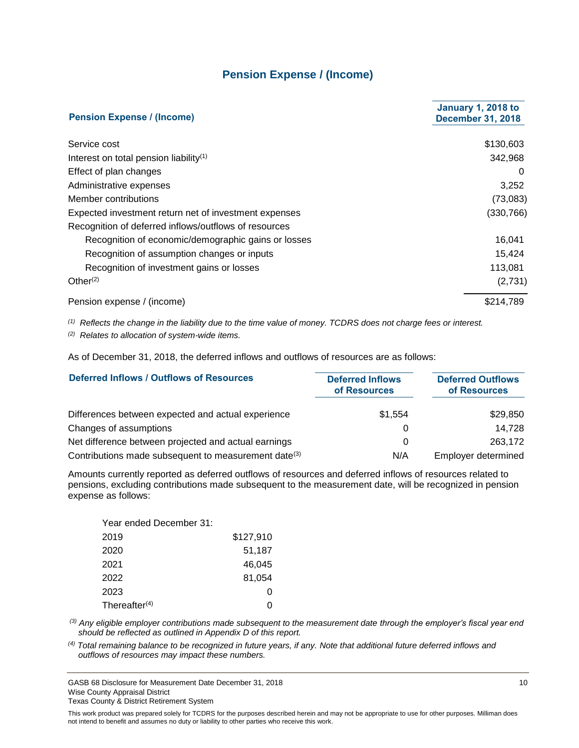## **Pension Expense / (Income)**

<span id="page-11-0"></span>

| <b>Pension Expense / (Income)</b>                     | <b>January 1, 2018 to</b><br><b>December 31, 2018</b> |
|-------------------------------------------------------|-------------------------------------------------------|
| Service cost                                          | \$130,603                                             |
| Interest on total pension liability <sup>(1)</sup>    | 342,968                                               |
| Effect of plan changes                                | 0                                                     |
| Administrative expenses                               | 3,252                                                 |
| Member contributions                                  | (73,083)                                              |
| Expected investment return net of investment expenses | (330, 766)                                            |
| Recognition of deferred inflows/outflows of resources |                                                       |
| Recognition of economic/demographic gains or losses   | 16,041                                                |
| Recognition of assumption changes or inputs           | 15.424                                                |
| Recognition of investment gains or losses             | 113,081                                               |
| Other $(2)$                                           | (2,731)                                               |
| Pension expense / (income)                            | \$214,789                                             |

*(1) Reflects the change in the liability due to the time value of money. TCDRS does not charge fees or interest.*

*(2) Relates to allocation of system-wide items.*

As of December 31, 2018, the deferred inflows and outflows of resources are as follows:

| <b>Deferred Inflows / Outflows of Resources</b>                  | <b>Deferred Inflows</b><br>of Resources | <b>Deferred Outflows</b><br>of Resources |
|------------------------------------------------------------------|-----------------------------------------|------------------------------------------|
| Differences between expected and actual experience               | \$1.554                                 | \$29,850                                 |
| Changes of assumptions                                           |                                         | 14.728                                   |
| Net difference between projected and actual earnings             | 0                                       | 263,172                                  |
| Contributions made subsequent to measurement date <sup>(3)</sup> | N/A                                     | Employer determined                      |

Amounts currently reported as deferred outflows of resources and deferred inflows of resources related to pensions, excluding contributions made subsequent to the measurement date, will be recognized in pension expense as follows:

| Year ended December 31: |           |
|-------------------------|-----------|
| 2019                    | \$127,910 |
| 2020                    | 51,187    |
| 2021                    | 46.045    |
| 2022                    | 81,054    |
| 2023                    | 0         |
| Thereafter $(4)$        | ი         |

*(3) Any eligible employer contributions made subsequent to the measurement date through the employer's fiscal year end should be reflected as outlined in Appendix D of this report.* 

*(4) Total remaining balance to be recognized in future years, if any. Note that additional future deferred inflows and outflows of resources may impact these numbers.*

GASB 68 Disclosure for Measurement Date December 31, 2018 10 Wise County Appraisal District Texas County & District Retirement System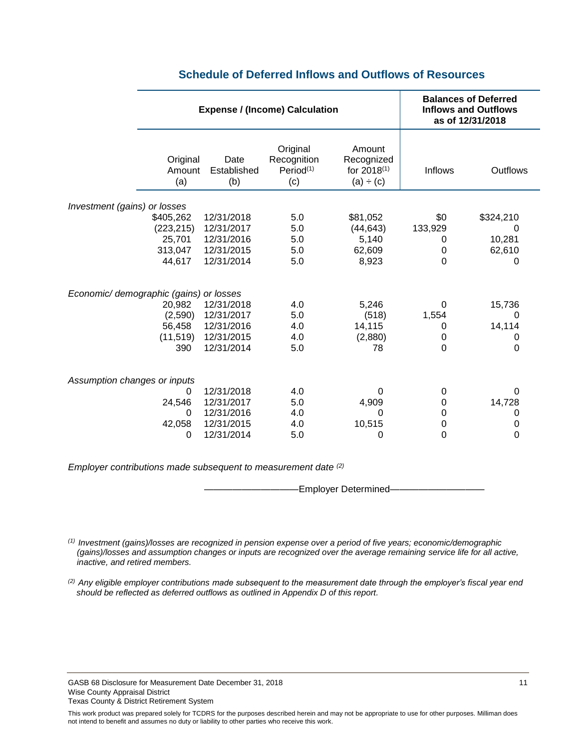<span id="page-12-0"></span>

|                                         | <b>Expense / (Income) Calculation</b>                  |                                                                    |                                                         | <b>Balances of Deferred</b><br><b>Inflows and Outflows</b><br>as of 12/31/2018 |                                       |                                         |
|-----------------------------------------|--------------------------------------------------------|--------------------------------------------------------------------|---------------------------------------------------------|--------------------------------------------------------------------------------|---------------------------------------|-----------------------------------------|
|                                         | Original<br>Amount<br>(a)                              | Date<br>Established<br>(b)                                         | Original<br>Recognition<br>Period <sup>(1)</sup><br>(c) | Amount<br>Recognized<br>for 2018 <sup>(1)</sup><br>(a) ÷ (c)                   | Inflows                               | Outflows                                |
|                                         |                                                        |                                                                    |                                                         |                                                                                |                                       |                                         |
| Investment (gains) or losses            | \$405,262<br>(223, 215)<br>25,701<br>313,047<br>44,617 | 12/31/2018<br>12/31/2017<br>12/31/2016<br>12/31/2015<br>12/31/2014 | 5.0<br>5.0<br>5.0<br>5.0<br>5.0                         | \$81,052<br>(44, 643)<br>5,140<br>62,609<br>8,923                              | \$0<br>133,929<br>0<br>$\pmb{0}$<br>0 | \$324,210<br>0<br>10,281<br>62,610<br>0 |
| Economic/ demographic (gains) or losses |                                                        |                                                                    |                                                         |                                                                                |                                       |                                         |
|                                         | 20,982                                                 | 12/31/2018                                                         | 4.0                                                     | 5,246                                                                          | 0                                     | 15,736                                  |
|                                         | (2,590)                                                | 12/31/2017                                                         | 5.0                                                     | (518)                                                                          | 1,554                                 | 0                                       |
|                                         | 56,458                                                 | 12/31/2016                                                         | 4.0                                                     | 14,115                                                                         | 0                                     | 14,114                                  |
|                                         | (11, 519)<br>390                                       | 12/31/2015<br>12/31/2014                                           | 4.0<br>5.0                                              | (2,880)<br>78                                                                  | 0<br>$\mathbf 0$                      | 0<br>0                                  |
| Assumption changes or inputs            |                                                        |                                                                    |                                                         |                                                                                |                                       |                                         |
|                                         | 0                                                      | 12/31/2018                                                         | 4.0                                                     | 0                                                                              | 0                                     | 0                                       |
|                                         | 24,546                                                 | 12/31/2017                                                         | 5.0                                                     | 4,909                                                                          | $\mathbf 0$                           | 14,728                                  |
|                                         | 0                                                      | 12/31/2016                                                         | 4.0                                                     | 0                                                                              | $\mathbf 0$                           | 0                                       |
|                                         | 42,058                                                 | 12/31/2015                                                         | 4.0                                                     | 10,515                                                                         | $\pmb{0}$                             | 0                                       |
|                                         | 0                                                      | 12/31/2014                                                         | 5.0                                                     | 0                                                                              | 0                                     | 0                                       |

### **Schedule of Deferred Inflows and Outflows of Resources**

*Employer contributions made subsequent to measurement date (2)*

-Employer Determined-

*(1) Investment (gains)/losses are recognized in pension expense over a period of five years; economic/demographic (gains)/losses and assumption changes or inputs are recognized over the average remaining service life for all active, inactive, and retired members.*

*(2) Any eligible employer contributions made subsequent to the measurement date through the employer's fiscal year end should be reflected as deferred outflows as outlined in Appendix D of this report.* 

GASB 68 Disclosure for Measurement Date December 31, 2018 11 11 12 17 18 17 18 18 19 18 19 18 19 19 11 11 11 1 Wise County Appraisal District Texas County & District Retirement System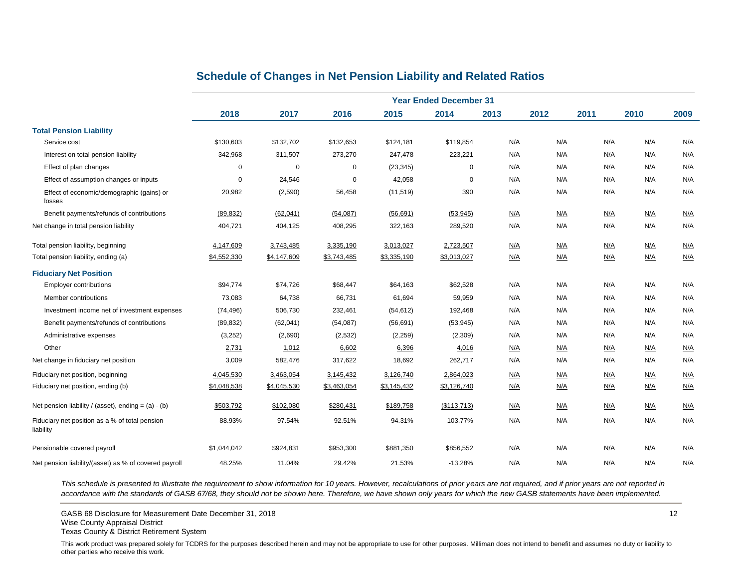## **Schedule of Changes in Net Pension Liability and Related Ratios**

<span id="page-13-0"></span>

|                                                             | <b>Year Ended December 31</b> |             |             |             |             |      |      |      |            |      |
|-------------------------------------------------------------|-------------------------------|-------------|-------------|-------------|-------------|------|------|------|------------|------|
|                                                             | 2018                          | 2017        | 2016        | 2015        | 2014        | 2013 | 2012 | 2011 | 2010       | 2009 |
| <b>Total Pension Liability</b>                              |                               |             |             |             |             |      |      |      |            |      |
| Service cost                                                | \$130,603                     | \$132,702   | \$132,653   | \$124,181   | \$119,854   | N/A  | N/A  | N/A  | N/A        | N/A  |
| Interest on total pension liability                         | 342,968                       | 311,507     | 273,270     | 247,478     | 223,221     | N/A  | N/A  | N/A  | N/A        | N/A  |
| Effect of plan changes                                      | $\Omega$                      | $\mathbf 0$ | $\mathbf 0$ | (23, 345)   | $\mathbf 0$ | N/A  | N/A  | N/A  | N/A        | N/A  |
| Effect of assumption changes or inputs                      | $\Omega$                      | 24,546      | $\mathbf 0$ | 42,058      | $\mathbf 0$ | N/A  | N/A  | N/A  | N/A        | N/A  |
| Effect of economic/demographic (gains) or<br>losses         | 20,982                        | (2,590)     | 56,458      | (11, 519)   | 390         | N/A  | N/A  | N/A  | N/A        | N/A  |
| Benefit payments/refunds of contributions                   | (89, 832)                     | (62, 041)   | (54,087)    | (56, 691)   | (53, 945)   | N/A  | N/A  | N/A  | N/A        | N/A  |
| Net change in total pension liability                       | 404,721                       | 404,125     | 408,295     | 322,163     | 289,520     | N/A  | N/A  | N/A  | N/A        | N/A  |
| Total pension liability, beginning                          | 4,147,609                     | 3,743,485   | 3,335,190   | 3,013,027   | 2,723,507   | N/A  | N/A  | N/A  | N/A        | N/A  |
| Total pension liability, ending (a)                         | \$4,552,330                   | \$4,147,609 | \$3,743,485 | \$3,335,190 | \$3,013,027 | N/A  | N/A  | N/A  | N/A        | N/A  |
| <b>Fiduciary Net Position</b>                               |                               |             |             |             |             |      |      |      |            |      |
| <b>Employer contributions</b>                               | \$94,774                      | \$74,726    | \$68,447    | \$64,163    | \$62,528    | N/A  | N/A  | N/A  | N/A        | N/A  |
| Member contributions                                        | 73,083                        | 64,738      | 66,731      | 61,694      | 59,959      | N/A  | N/A  | N/A  | N/A        | N/A  |
| Investment income net of investment expenses                | (74, 496)                     | 506,730     | 232,461     | (54, 612)   | 192,468     | N/A  | N/A  | N/A  | N/A        | N/A  |
| Benefit payments/refunds of contributions                   | (89, 832)                     | (62, 041)   | (54,087)    | (56, 691)   | (53, 945)   | N/A  | N/A  | N/A  | N/A        | N/A  |
| Administrative expenses                                     | (3,252)                       | (2,690)     | (2, 532)    | (2, 259)    | (2,309)     | N/A  | N/A  | N/A  | N/A        | N/A  |
| Other                                                       | 2,731                         | 1,012       | 6,602       | 6,396       | 4,016       | N/A  | N/A  | N/A  | N/A        | N/A  |
| Net change in fiduciary net position                        | 3,009                         | 582,476     | 317,622     | 18,692      | 262,717     | N/A  | N/A  | N/A  | N/A        | N/A  |
| Fiduciary net position, beginning                           | 4,045,530                     | 3,463,054   | 3,145,432   | 3,126,740   | 2,864,023   | N/A  | N/A  | N/A  | N/A        | N/A  |
| Fiduciary net position, ending (b)                          | \$4,048,538                   | \$4,045,530 | \$3,463,054 | \$3,145,432 | \$3,126,740 | N/A  | N/A  | N/A  | <u>N/A</u> | N/A  |
| Net pension liability / (asset), ending = $(a) - (b)$       | \$503,792                     | \$102,080   | \$280,431   | \$189,758   | (\$113,713) | N/A  | N/A  | N/A  | N/A        | N/A  |
| Fiduciary net position as a % of total pension<br>liability | 88.93%                        | 97.54%      | 92.51%      | 94.31%      | 103.77%     | N/A  | N/A  | N/A  | N/A        | N/A  |
| Pensionable covered payroll                                 | \$1,044,042                   | \$924,831   | \$953,300   | \$881,350   | \$856,552   | N/A  | N/A  | N/A  | N/A        | N/A  |
| Net pension liability/(asset) as % of covered payroll       | 48.25%                        | 11.04%      | 29.42%      | 21.53%      | $-13.28%$   | N/A  | N/A  | N/A  | N/A        | N/A  |

*This schedule is presented to illustrate the requirement to show information for 10 years. However, recalculations of prior years are not required, and if prior years are not reported in*  accordance with the standards of GASB 67/68, they should not be shown here. Therefore, we have shown only years for which the new GASB statements have been implemented.

GASB 68 Disclosure for Measurement Date December 31, 2018 12 No. 12 No. 12 No. 12 No. 12 No. 12 No. 12 No. 12 No. 12 No. 12 No. 12 No. 12 No. 12 No. 12 No. 12 No. 12 No. 12 No. 12 No. 12 No. 12 No. 12 No. 12 No. 12 No. 12

Texas County & District Retirement System

Wise County Appraisal District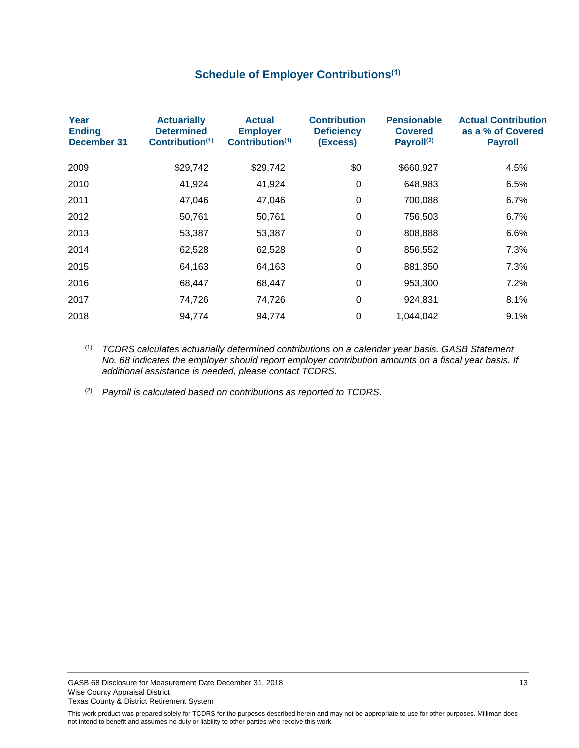# **Schedule of Employer Contributions(1)**

<span id="page-14-0"></span>

| <b>Actuarially</b><br><b>Determined</b><br>Contribution <sup>(1)</sup> | <b>Actual</b><br><b>Employer</b><br>Contribution <sup>(1)</sup> | <b>Contribution</b><br><b>Deficiency</b><br>(Excess) | <b>Pensionable</b><br><b>Covered</b><br>Payroll <sup>(2)</sup> | <b>Actual Contribution</b><br>as a % of Covered<br><b>Payroll</b> |
|------------------------------------------------------------------------|-----------------------------------------------------------------|------------------------------------------------------|----------------------------------------------------------------|-------------------------------------------------------------------|
| \$29,742                                                               | \$29,742                                                        | \$0                                                  | \$660,927                                                      | 4.5%                                                              |
| 41,924                                                                 | 41,924                                                          | 0                                                    | 648,983                                                        | 6.5%                                                              |
| 47,046                                                                 | 47,046                                                          | 0                                                    | 700,088                                                        | 6.7%                                                              |
| 50,761                                                                 | 50,761                                                          | 0                                                    | 756,503                                                        | 6.7%                                                              |
| 53,387                                                                 | 53,387                                                          | 0                                                    | 808,888                                                        | 6.6%                                                              |
| 62,528                                                                 | 62,528                                                          | 0                                                    | 856,552                                                        | 7.3%                                                              |
| 64,163                                                                 | 64,163                                                          | $\Omega$                                             | 881,350                                                        | 7.3%                                                              |
| 68,447                                                                 | 68,447                                                          | $\Omega$                                             | 953,300                                                        | 7.2%                                                              |
| 74,726                                                                 | 74,726                                                          | 0                                                    | 924,831                                                        | 8.1%                                                              |
| 94,774                                                                 | 94,774                                                          | 0                                                    | 1,044,042                                                      | 9.1%                                                              |
|                                                                        |                                                                 |                                                      |                                                                |                                                                   |

(1) *TCDRS calculates actuarially determined contributions on a calendar year basis. GASB Statement No. 68 indicates the employer should report employer contribution amounts on a fiscal year basis. If additional assistance is needed, please contact TCDRS.*

(2) *Payroll is calculated based on contributions as reported to TCDRS.*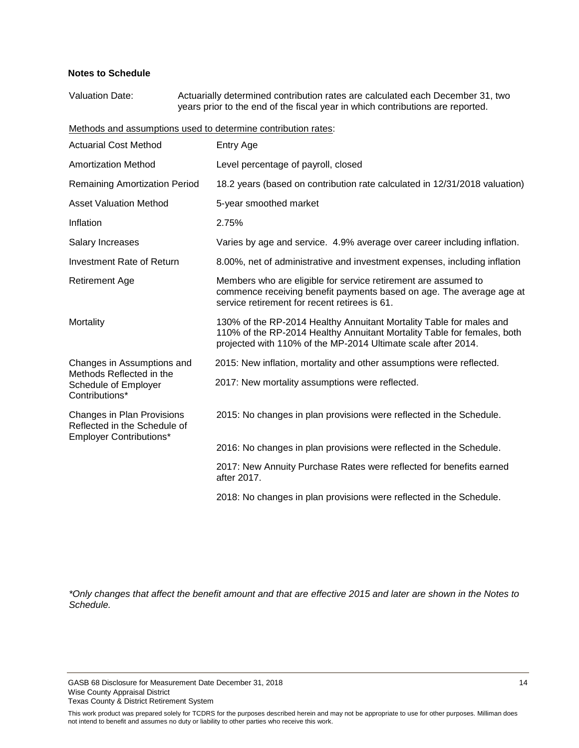#### **Notes to Schedule**

Valuation Date: Actuarially determined contribution rates are calculated each December 31, two years prior to the end of the fiscal year in which contributions are reported.

Methods and assumptions used to determine contribution rates:

| <b>Actuarial Cost Method</b>                                                                 | <b>Entry Age</b>                                                                                                                                                                                                |
|----------------------------------------------------------------------------------------------|-----------------------------------------------------------------------------------------------------------------------------------------------------------------------------------------------------------------|
| <b>Amortization Method</b>                                                                   | Level percentage of payroll, closed                                                                                                                                                                             |
| <b>Remaining Amortization Period</b>                                                         | 18.2 years (based on contribution rate calculated in 12/31/2018 valuation)                                                                                                                                      |
| <b>Asset Valuation Method</b>                                                                | 5-year smoothed market                                                                                                                                                                                          |
| Inflation                                                                                    | 2.75%                                                                                                                                                                                                           |
| <b>Salary Increases</b>                                                                      | Varies by age and service. 4.9% average over career including inflation.                                                                                                                                        |
| <b>Investment Rate of Return</b>                                                             | 8.00%, net of administrative and investment expenses, including inflation                                                                                                                                       |
| <b>Retirement Age</b>                                                                        | Members who are eligible for service retirement are assumed to<br>commence receiving benefit payments based on age. The average age at<br>service retirement for recent retirees is 61.                         |
| Mortality                                                                                    | 130% of the RP-2014 Healthy Annuitant Mortality Table for males and<br>110% of the RP-2014 Healthy Annuitant Mortality Table for females, both<br>projected with 110% of the MP-2014 Ultimate scale after 2014. |
| Changes in Assumptions and                                                                   | 2015: New inflation, mortality and other assumptions were reflected.                                                                                                                                            |
| Methods Reflected in the<br>Schedule of Employer<br>Contributions*                           | 2017: New mortality assumptions were reflected.                                                                                                                                                                 |
| Changes in Plan Provisions<br>Reflected in the Schedule of<br><b>Employer Contributions*</b> | 2015: No changes in plan provisions were reflected in the Schedule.                                                                                                                                             |
|                                                                                              | 2016: No changes in plan provisions were reflected in the Schedule.                                                                                                                                             |
|                                                                                              | 2017: New Annuity Purchase Rates were reflected for benefits earned<br>after 2017.                                                                                                                              |
|                                                                                              | 2018: No changes in plan provisions were reflected in the Schedule.                                                                                                                                             |

*\*Only changes that affect the benefit amount and that are effective 2015 and later are shown in the Notes to Schedule.*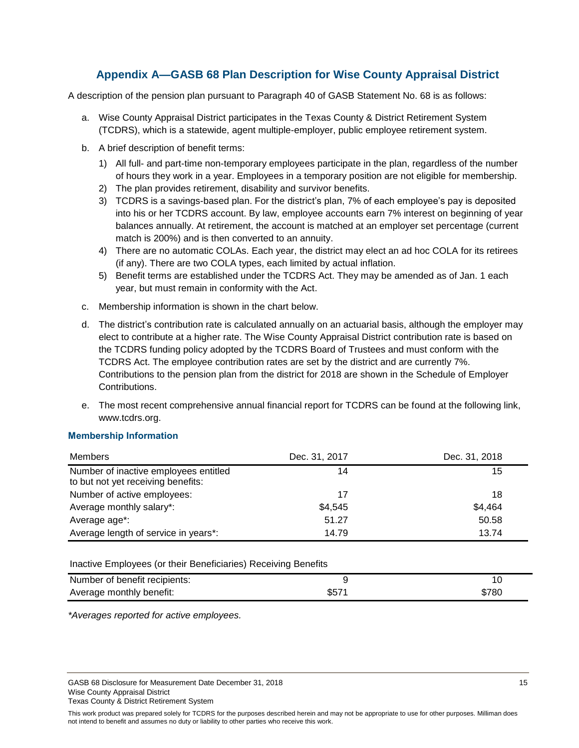# **Appendix A—GASB 68 Plan Description for Wise County Appraisal District**

<span id="page-16-0"></span>A description of the pension plan pursuant to Paragraph 40 of GASB Statement No. 68 is as follows:

- a. Wise County Appraisal District participates in the Texas County & District Retirement System (TCDRS), which is a statewide, agent multiple-employer, public employee retirement system.
- b. A brief description of benefit terms:
	- 1) All full- and part-time non-temporary employees participate in the plan, regardless of the number of hours they work in a year. Employees in a temporary position are not eligible for membership.
	- 2) The plan provides retirement, disability and survivor benefits.
	- 3) TCDRS is a savings-based plan. For the district's plan, 7% of each employee's pay is deposited into his or her TCDRS account. By law, employee accounts earn 7% interest on beginning of year balances annually. At retirement, the account is matched at an employer set percentage (current match is 200%) and is then converted to an annuity.
	- 4) There are no automatic COLAs. Each year, the district may elect an ad hoc COLA for its retirees (if any). There are two COLA types, each limited by actual inflation.
	- 5) Benefit terms are established under the TCDRS Act. They may be amended as of Jan. 1 each year, but must remain in conformity with the Act.
- c. Membership information is shown in the chart below.
- d. The district's contribution rate is calculated annually on an actuarial basis, although the employer may elect to contribute at a higher rate. The Wise County Appraisal District contribution rate is based on the TCDRS funding policy adopted by the TCDRS Board of Trustees and must conform with the TCDRS Act. The employee contribution rates are set by the district and are currently 7%. Contributions to the pension plan from the district for 2018 are shown in the Schedule of Employer Contributions.
- e. The most recent comprehensive annual financial report for TCDRS can be found at the following link, www.tcdrs.org.

#### **Membership Information**

| Members                                                                     | Dec. 31, 2017 | Dec. 31, 2018 |
|-----------------------------------------------------------------------------|---------------|---------------|
| Number of inactive employees entitled<br>to but not yet receiving benefits: | 14            | 15            |
| Number of active employees:                                                 | 17            | 18            |
| Average monthly salary*:                                                    | \$4,545       | \$4,464       |
| Average age*:                                                               | 51.27         | 50.58         |
| Average length of service in years*:                                        | 14.79         | 13.74         |

#### Inactive Employees (or their Beneficiaries) Receiving Benefits

| Number of benefit recipients: |      |       |
|-------------------------------|------|-------|
| Average monthly benefit:      | \$57 | \$780 |

*\*Averages reported for active employees.*

GASB 68 Disclosure for Measurement Date December 31, 2018 15 15 16 17 17 18 Wise County Appraisal District Texas County & District Retirement System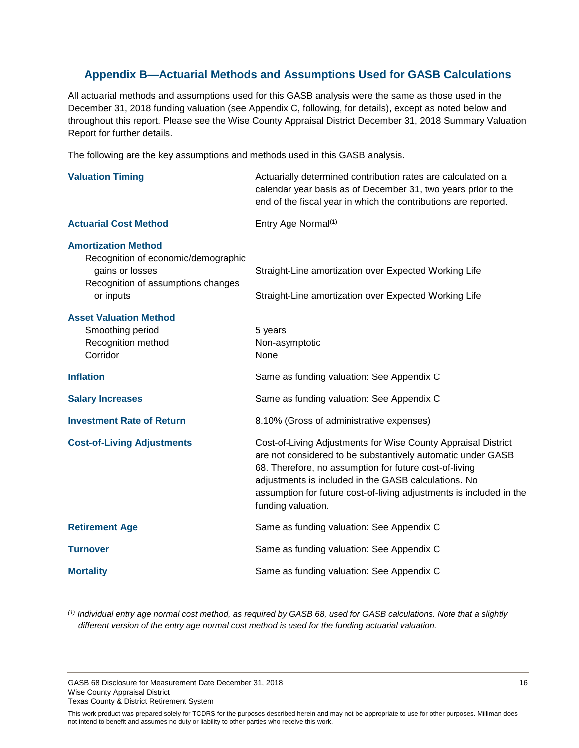# <span id="page-17-0"></span>**Appendix B—Actuarial Methods and Assumptions Used for GASB Calculations**

All actuarial methods and assumptions used for this GASB analysis were the same as those used in the December 31, 2018 funding valuation (see Appendix C, following, for details), except as noted below and throughout this report. Please see the Wise County Appraisal District December 31, 2018 Summary Valuation Report for further details.

The following are the key assumptions and methods used in this GASB analysis.

| <b>Valuation Timing</b>                                                                                                                 | Actuarially determined contribution rates are calculated on a<br>calendar year basis as of December 31, two years prior to the<br>end of the fiscal year in which the contributions are reported.                                                                                                                                           |
|-----------------------------------------------------------------------------------------------------------------------------------------|---------------------------------------------------------------------------------------------------------------------------------------------------------------------------------------------------------------------------------------------------------------------------------------------------------------------------------------------|
| <b>Actuarial Cost Method</b>                                                                                                            | Entry Age Normal <sup>(1)</sup>                                                                                                                                                                                                                                                                                                             |
| <b>Amortization Method</b><br>Recognition of economic/demographic<br>gains or losses<br>Recognition of assumptions changes<br>or inputs | Straight-Line amortization over Expected Working Life<br>Straight-Line amortization over Expected Working Life                                                                                                                                                                                                                              |
| <b>Asset Valuation Method</b><br>Smoothing period<br>Recognition method<br>Corridor                                                     | 5 years<br>Non-asymptotic<br>None                                                                                                                                                                                                                                                                                                           |
| <b>Inflation</b>                                                                                                                        | Same as funding valuation: See Appendix C                                                                                                                                                                                                                                                                                                   |
| <b>Salary Increases</b>                                                                                                                 | Same as funding valuation: See Appendix C                                                                                                                                                                                                                                                                                                   |
| <b>Investment Rate of Return</b>                                                                                                        | 8.10% (Gross of administrative expenses)                                                                                                                                                                                                                                                                                                    |
| <b>Cost-of-Living Adjustments</b>                                                                                                       | Cost-of-Living Adjustments for Wise County Appraisal District<br>are not considered to be substantively automatic under GASB<br>68. Therefore, no assumption for future cost-of-living<br>adjustments is included in the GASB calculations. No<br>assumption for future cost-of-living adjustments is included in the<br>funding valuation. |
| <b>Retirement Age</b>                                                                                                                   | Same as funding valuation: See Appendix C                                                                                                                                                                                                                                                                                                   |
| <b>Turnover</b>                                                                                                                         | Same as funding valuation: See Appendix C                                                                                                                                                                                                                                                                                                   |
| <b>Mortality</b>                                                                                                                        | Same as funding valuation: See Appendix C                                                                                                                                                                                                                                                                                                   |

*(1) Individual entry age normal cost method, as required by GASB 68, used for GASB calculations. Note that a slightly different version of the entry age normal cost method is used for the funding actuarial valuation.* 

GASB 68 Disclosure for Measurement Date December 31, 2018 16 16 16 17 18 16 16 17 18 16 Wise County Appraisal District Texas County & District Retirement System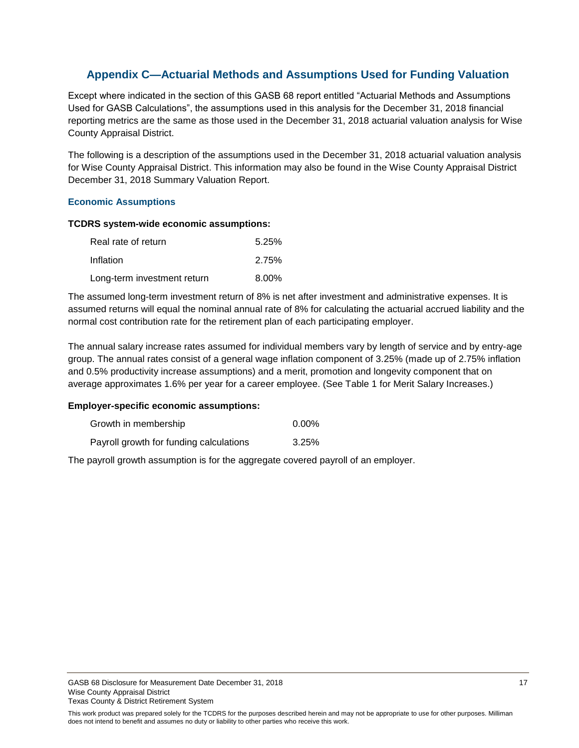# <span id="page-18-0"></span>**Appendix C—Actuarial Methods and Assumptions Used for Funding Valuation**

Except where indicated in the section of this GASB 68 report entitled "Actuarial Methods and Assumptions Used for GASB Calculations", the assumptions used in this analysis for the December 31, 2018 financial reporting metrics are the same as those used in the December 31, 2018 actuarial valuation analysis for Wise County Appraisal District.

The following is a description of the assumptions used in the December 31, 2018 actuarial valuation analysis for Wise County Appraisal District. This information may also be found in the Wise County Appraisal District December 31, 2018 Summary Valuation Report.

#### **Economic Assumptions**

#### **TCDRS system-wide economic assumptions:**

| Real rate of return         | 5.25%    |
|-----------------------------|----------|
| Inflation                   | 2.75%    |
| Long-term investment return | $8.00\%$ |

The assumed long-term investment return of 8% is net after investment and administrative expenses. It is assumed returns will equal the nominal annual rate of 8% for calculating the actuarial accrued liability and the normal cost contribution rate for the retirement plan of each participating employer.

The annual salary increase rates assumed for individual members vary by length of service and by entry-age group. The annual rates consist of a general wage inflation component of 3.25% (made up of 2.75% inflation and 0.5% productivity increase assumptions) and a merit, promotion and longevity component that on average approximates 1.6% per year for a career employee. (See Table 1 for Merit Salary Increases.)

#### **Employer-specific economic assumptions:**

| Growth in membership                    | 0.00% |
|-----------------------------------------|-------|
| Payroll growth for funding calculations | 3.25% |

The payroll growth assumption is for the aggregate covered payroll of an employer.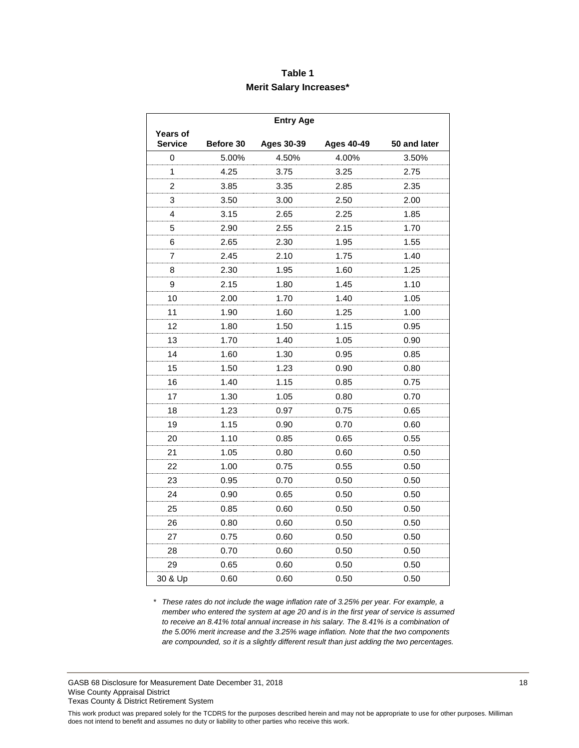## **Table 1 Merit Salary Increases\***

|                            |           | <b>Entry Age</b>  |                   |              |
|----------------------------|-----------|-------------------|-------------------|--------------|
| Years of<br><b>Service</b> | Before 30 | <b>Ages 30-39</b> | <b>Ages 40-49</b> | 50 and later |
| 0                          | 5.00%     | 4.50%             | 4.00%             | 3.50%        |
| 1                          | 4.25      | 3.75              | 3.25              | 2.75         |
| 2                          | 3.85      | 3.35              | 2.85              | 2.35         |
| 3                          | 3.50      | 3.00              | 2.50              | 2.00         |
| 4                          | 3.15      | 2.65              | 2.25              | 1.85         |
| 5                          | 2.90      | 2.55              | 2.15              | 1.70         |
| 6                          | 2.65      | 2.30              | 1.95              | 1.55         |
| 7                          | 2.45      | 2.10              | 1.75              | 1.40         |
| 8                          | 2.30      | 1.95              | 1.60              | 1.25         |
| 9                          | 2.15      | 1.80              | 1.45              | 1.10         |
| 10                         | 2.00      | 1.70              | 1.40              | 1.05         |
| 11                         | 1.90      | 1.60              | 1.25              | 1.00         |
| 12                         | 1.80      | 1.50              | 1.15              | 0.95         |
| 13                         | 1.70      | 1.40              | 1.05              | 0.90         |
| 14                         | 1.60      | 1.30              | 0.95              | 0.85         |
| 15                         | 1.50      | 1.23              | 0.90              | 0.80         |
| 16                         | 1.40      | 1.15              | 0.85              | 0.75         |
| 17                         | 1.30      | 1.05              | 0.80              | 0.70         |
| 18                         | 1.23      | 0.97              | 0.75              | 0.65         |
| 19                         | 1.15      | 0.90              | 0.70              | 0.60         |
| 20                         | 1.10      | 0.85              | 0.65              | 0.55         |
| 21                         | 1.05      | 0.80              | 0.60              | 0.50         |
| 22                         | 1.00      | 0.75              | 0.55              | 0.50         |
| 23                         | 0.95      | 0.70              | 0.50              | 0.50         |
| 24                         | 0.90      | 0.65              | 0.50              | 0.50         |
| 25                         | 0.85      | 0.60              | 0.50              | 0.50         |
| 26                         | 0.80      | 0.60              | 0.50              | 0.50         |
| 27                         | 0.75      | 0.60              | 0.50              | 0.50         |
| 28                         | 0.70      | 0.60              | 0.50              | 0.50         |
| 29                         | 0.65      | 0.60              | 0.50              | 0.50         |
| 30 & Up                    | 0.60      | 0.60              | 0.50              | 0.50         |

*\* These rates do not include the wage inflation rate of 3.25% per year. For example, a member who entered the system at age 20 and is in the first year of service is assumed to receive an 8.41% total annual increase in his salary. The 8.41% is a combination of the 5.00% merit increase and the 3.25% wage inflation. Note that the two components are compounded, so it is a slightly different result than just adding the two percentages.*

GASB 68 Disclosure for Measurement Date December 31, 2018 18 Wise County Appraisal District Texas County & District Retirement System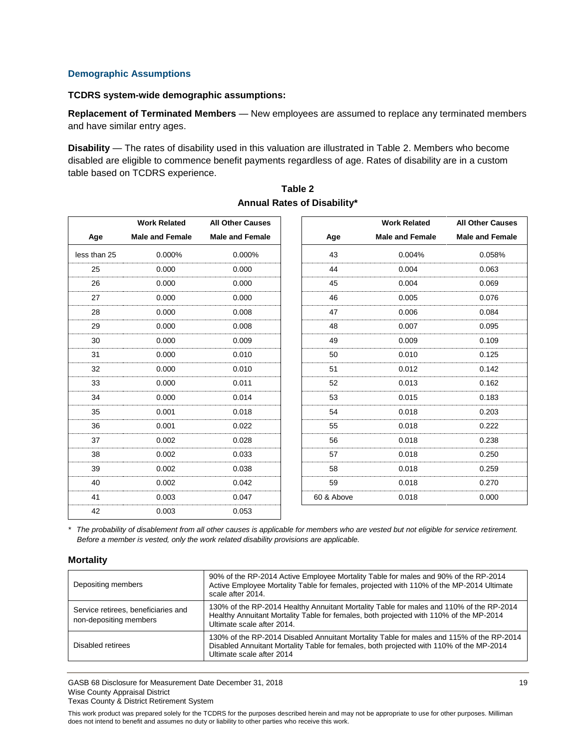#### **Demographic Assumptions**

#### **TCDRS system-wide demographic assumptions:**

**Replacement of Terminated Members** — New employees are assumed to replace any terminated members and have similar entry ages.

**Disability** — The rates of disability used in this valuation are illustrated in Table 2. Members who become disabled are eligible to commence benefit payments regardless of age. Rates of disability are in a custom table based on TCDRS experience.

|              | <b>Work Related</b>    | <b>All Other Causes</b> |            | <b>Work Related</b>    |
|--------------|------------------------|-------------------------|------------|------------------------|
| Age          | <b>Male and Female</b> | <b>Male and Female</b>  | Age        | <b>Male and Female</b> |
| less than 25 | 0.000%                 | 0.000%                  | 43         | 0.004%                 |
| 25           | 0.000                  | 0.000                   | 44         | 0.004                  |
| 26           | 0.000                  | 0.000                   | 45         | 0.004                  |
| 27           | 0.000                  | 0.000                   | 46         | 0.005                  |
| 28           | 0.000                  | 0.008                   | 47         | 0.006                  |
| 29           | 0.000                  | 0.008                   | 48         | 0.007                  |
| 30           | 0.000                  | 0.009                   | 49         | 0.009                  |
| 31           | 0.000                  | 0.010                   | 50         | 0.010                  |
| 32           | 0.000                  | 0.010                   | 51         | 0.012                  |
| 33           | 0.000                  | 0.011                   | 52         | 0.013                  |
| 34           | 0.000                  | 0.014                   | 53         | 0.015                  |
| 35           | 0.001                  | 0.018                   | 54         | 0.018                  |
| 36           | 0.001                  | 0.022                   | 55         | 0.018                  |
| 37           | 0.002                  | 0.028                   | 56         | 0.018                  |
| 38           | 0.002                  | 0.033                   | 57         | 0.018                  |
| 39           | 0.002                  | 0.038                   | 58         | 0.018                  |
| 40           | 0.002                  | 0.042                   | 59         | 0.018                  |
| 41           | 0.003                  | 0.047                   | 60 & Above | 0.018                  |
| 42           | 0.003                  | 0.053                   |            |                        |

#### **Table 2 Annual Rates of Disability\***

*\* The probability of disablement from all other causes is applicable for members who are vested but not eligible for service retirement. Before a member is vested, only the work related disability provisions are applicable.*

#### **Mortality**

| Depositing members                                            | 90% of the RP-2014 Active Employee Mortality Table for males and 90% of the RP-2014<br>Active Employee Mortality Table for females, projected with 110% of the MP-2014 Ultimate<br>scale after 2014.             |
|---------------------------------------------------------------|------------------------------------------------------------------------------------------------------------------------------------------------------------------------------------------------------------------|
| Service retirees, beneficiaries and<br>non-depositing members | 130% of the RP-2014 Healthy Annuitant Mortality Table for males and 110% of the RP-2014<br>Healthy Annuitant Mortality Table for females, both projected with 110% of the MP-2014<br>Ultimate scale after 2014.  |
| Disabled retirees                                             | 130% of the RP-2014 Disabled Annuitant Mortality Table for males and 115% of the RP-2014<br>Disabled Annuitant Mortality Table for females, both projected with 110% of the MP-2014<br>Ultimate scale after 2014 |

GASB 68 Disclosure for Measurement Date December 31, 2018 19 Wise County Appraisal District Texas County & District Retirement System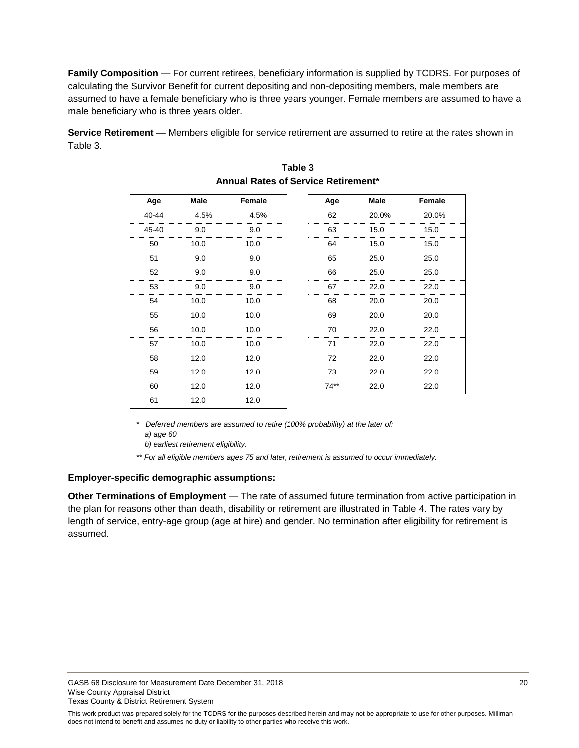**Family Composition** — For current retirees, beneficiary information is supplied by TCDRS. For purposes of calculating the Survivor Benefit for current depositing and non-depositing members, male members are assumed to have a female beneficiary who is three years younger. Female members are assumed to have a male beneficiary who is three years older.

**Service Retirement** — Members eligible for service retirement are assumed to retire at the rates shown in Table 3.

| Age   | Male | Female | Age    | Male  | Female |
|-------|------|--------|--------|-------|--------|
| 40-44 | 4.5% | 4.5%   | 62     | 20.0% | 20.0%  |
| 45-40 | 9.0  | 9.0    | 63     | 15.0  | 15.0   |
| 50    | 10.0 | 10.0   | 64     | 15.0  | 15.0   |
| 51    | 9.0  | 9.0    | 65     | 25.0  | 25.0   |
| 52    | 9.0  | 9.0    | 66     | 25.0  | 25.0   |
| 53    | 9.0  | 9.0    | 67     | 22.0  | 22.0   |
| 54    | 10.0 | 10.0   | 68     | 20.0  | 20.0   |
| 55    | 10.0 | 10.0   | 69     | 20.0  | 20.0   |
| 56    | 10.0 | 10.0   | 70     | 22.0  | 22.0   |
| 57    | 10.0 | 10.0   | 71     | 22.0  | 22.0   |
| 58    | 12.0 | 12.0   | 72     | 22.0  | 22.0   |
| 59    | 12.0 | 12.0   | 73     | 22.0  | 22.0   |
| 60    | 12.0 | 12.0   | $74**$ | 22.0  | 22.0   |
| 61    | 12.0 | 12.0   |        |       |        |

| Table 3 |  |  |  |                                            |
|---------|--|--|--|--------------------------------------------|
|         |  |  |  | <b>Annual Rates of Service Retirement*</b> |

*\* Deferred members are assumed to retire (100% probability) at the later of: a) age 60*

 *b) earliest retirement eligibility.*

*\*\* For all eligible members ages 75 and later, retirement is assumed to occur immediately.*

#### **Employer-specific demographic assumptions:**

**Other Terminations of Employment** — The rate of assumed future termination from active participation in the plan for reasons other than death, disability or retirement are illustrated in Table 4. The rates vary by length of service, entry-age group (age at hire) and gender. No termination after eligibility for retirement is assumed.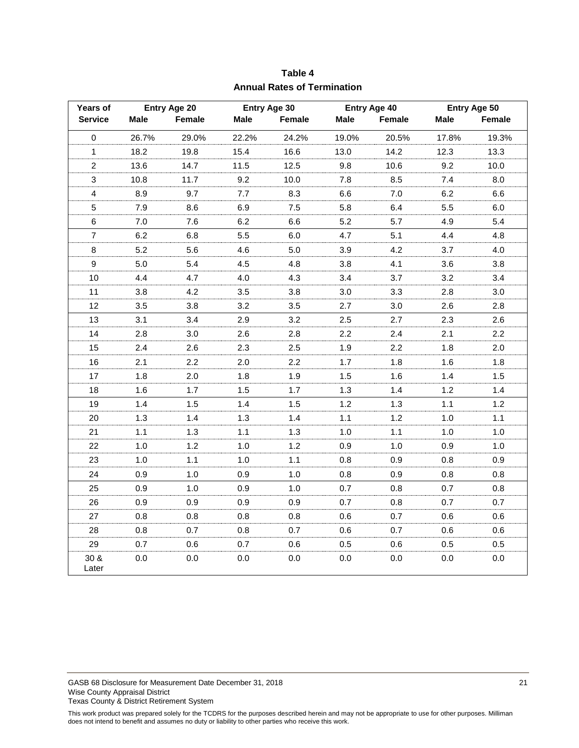| Years of                  |             | Entry Age 20 |       | Entry Age 30 |             | <b>Entry Age 40</b> |         | Entry Age 50 |
|---------------------------|-------------|--------------|-------|--------------|-------------|---------------------|---------|--------------|
| <b>Service</b>            | <b>Male</b> | Female       | Male  | Female       | <b>Male</b> | Female              | Male    | Female       |
| 0                         | 26.7%       | 29.0%        | 22.2% | 24.2%        | 19.0%       | 20.5%               | 17.8%   | 19.3%        |
| $\mathbf{1}$              | 18.2        | 19.8         | 15.4  | 16.6         | 13.0        | 14.2                | 12.3    | 13.3         |
| $\boldsymbol{2}$          | 13.6        | 14.7         | 11.5  | 12.5         | 9.8         | 10.6                | 9.2     | 10.0         |
| $\ensuremath{\mathsf{3}}$ | 10.8        | 11.7         | 9.2   | 10.0         | 7.8         | 8.5                 | 7.4     | 8.0          |
| $\overline{4}$            | 8.9         | 9.7          | 7.7   | 8.3          | 6.6         | 7.0                 | 6.2     | 6.6          |
| 5                         | 7.9         | 8.6          | 6.9   | 7.5          | 5.8         | 6.4                 | 5.5     | 6.0          |
| 6                         | $7.0\,$     | 7.6          | 6.2   | 6.6          | 5.2         | 5.7                 | 4.9     | 5.4          |
| $\overline{7}$            | 6.2         | 6.8          | 5.5   | 6.0          | 4.7         | 5.1                 | 4.4     | 4.8          |
| 8                         | 5.2         | 5.6          | 4.6   | 5.0          | 3.9         | 4.2                 | 3.7     | 4.0          |
| 9                         | 5.0         | 5.4          | 4.5   | 4.8          | 3.8         | 4.1                 | 3.6     | 3.8          |
| 10                        | 4.4         | 4.7          | 4.0   | 4.3          | 3.4         | 3.7                 | 3.2     | 3.4          |
| 11                        | 3.8         | 4.2          | 3.5   | 3.8          | 3.0         | 3.3                 | 2.8     | 3.0          |
| 12                        | 3.5         | 3.8          | 3.2   | 3.5          | 2.7         | 3.0                 | 2.6     | 2.8          |
| 13                        | 3.1         | 3.4          | 2.9   | 3.2          | 2.5         | 2.7                 | 2.3     | 2.6          |
| 14                        | 2.8         | 3.0          | 2.6   | 2.8          | 2.2         | 2.4                 | 2.1     | 2.2          |
| 15                        | 2.4         | 2.6          | 2.3   | 2.5          | 1.9         | 2.2                 | 1.8     | 2.0          |
| 16                        | 2.1         | 2.2          | 2.0   | 2.2          | 1.7         | 1.8                 | 1.6     | 1.8          |
| 17                        | 1.8         | 2.0          | 1.8   | 1.9          | 1.5         | 1.6                 | 1.4     | 1.5          |
| 18                        | 1.6         | 1.7          | 1.5   | 1.7          | 1.3         | 1.4                 | 1.2     | 1.4          |
| 19                        | 1.4         | 1.5          | 1.4   | 1.5          | 1.2         | 1.3                 | 1.1     | 1.2          |
| 20                        | 1.3         | 1.4          | 1.3   | 1.4          | 1.1         | $1.2$               | 1.0     | 1.1          |
| 21                        | 1.1         | 1.3          | 1.1   | 1.3          | 1.0         | 1.1                 | 1.0     | 1.0          |
| 22                        | 1.0         | $1.2$        | 1.0   | $1.2$        | 0.9         | 1.0                 | 0.9     | 1.0          |
| 23                        | 1.0         | 1.1          | 1.0   | 1.1          | 0.8         | 0.9                 | 0.8     | 0.9          |
| 24                        | 0.9         | 1.0          | 0.9   | 1.0          | 0.8         | 0.9                 | 0.8     | 0.8          |
| 25                        | 0.9         | 1.0          | 0.9   | 1.0          | 0.7         | 0.8                 | 0.7     | 0.8          |
| 26                        | 0.9         | 0.9          | 0.9   | 0.9          | 0.7         | 0.8                 | 0.7     | 0.7          |
| 27                        | 0.8         | 0.8          | 0.8   | 0.8          | 0.6         | 0.7                 | 0.6     | 0.6          |
| 28                        | 0.8         | 0.7          | 0.8   | 0.7          | 0.6         | 0.7                 | 0.6     | 0.6          |
| 29                        | 0.7         | 0.6          | 0.7   | 0.6          | 0.5         | 0.6                 | 0.5     | 0.5          |
| 30 &<br>Later             | 0.0         | 0.0          | 0.0   | 0.0          | 0.0         | 0.0                 | $0.0\,$ | 0.0          |

**Table 4 Annual Rates of Termination**

GASB 68 Disclosure for Measurement Date December 31, 2018 21 21 Wise County Appraisal District Texas County & District Retirement System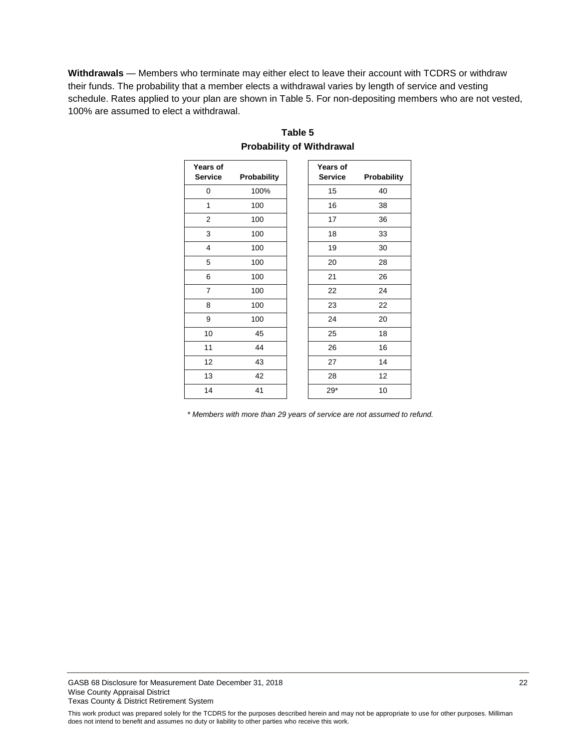**Withdrawals** — Members who terminate may either elect to leave their account with TCDRS or withdraw their funds. The probability that a member elects a withdrawal varies by length of service and vesting schedule. Rates applied to your plan are shown in Table 5. For non-depositing members who are not vested, 100% are assumed to elect a withdrawal.

| Years of<br><b>Service</b> | Probability | Years of<br><b>Service</b> | Probability |
|----------------------------|-------------|----------------------------|-------------|
| 0                          | 100%        | 15                         | 40          |
| 1                          | 100         | 16                         | 38          |
| $\overline{2}$             | 100         | 17                         | 36          |
| 3                          | 100         | 18                         | 33          |
| 4                          | 100         | 19                         | 30          |
| 5                          | 100         | 20                         | 28          |
| 6                          | 100         | 21                         | 26          |
| $\overline{7}$             | 100         | 22                         | 24          |
| 8                          | 100         | 23                         | 22          |
| 9                          | 100         | 24                         | 20          |
| 10                         | 45          | 25                         | 18          |
| 11                         | 44          | 26                         | 16          |
| 12                         | 43          | 27                         | 14          |
| 13                         | 42          | 28                         | 12          |
| 14                         | 41          | $29*$                      | 10          |

### **Table 5 Probability of Withdrawal**

*\* Members with more than 29 years of service are not assumed to refund.*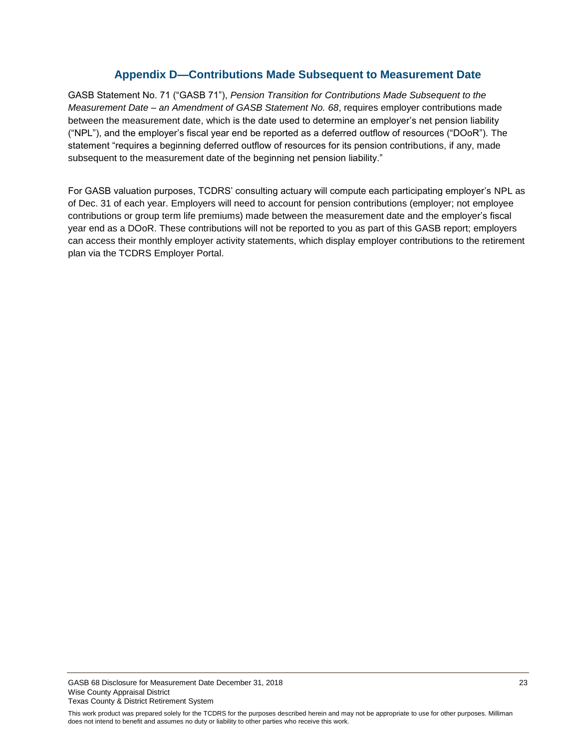### **Appendix D—Contributions Made Subsequent to Measurement Date**

<span id="page-24-0"></span>GASB Statement No. 71 ("GASB 71"), *Pension Transition for Contributions Made Subsequent to the Measurement Date – an Amendment of GASB Statement No. 68*, requires employer contributions made between the measurement date, which is the date used to determine an employer's net pension liability ("NPL"), and the employer's fiscal year end be reported as a deferred outflow of resources ("DOoR"). The statement "requires a beginning deferred outflow of resources for its pension contributions, if any, made subsequent to the measurement date of the beginning net pension liability."

For GASB valuation purposes, TCDRS' consulting actuary will compute each participating employer's NPL as of Dec. 31 of each year. Employers will need to account for pension contributions (employer; not employee contributions or group term life premiums) made between the measurement date and the employer's fiscal year end as a DOoR. These contributions will not be reported to you as part of this GASB report; employers can access their monthly employer activity statements, which display employer contributions to the retirement plan via the TCDRS Employer Portal.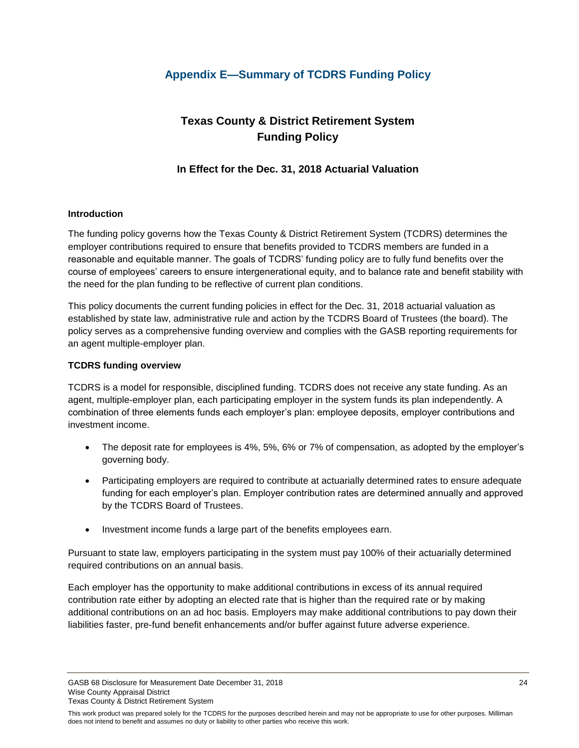# <span id="page-25-0"></span>**Appendix E—Summary of TCDRS Funding Policy**

# **Texas County & District Retirement System Funding Policy**

# **In Effect for the Dec. 31, 2018 Actuarial Valuation**

#### **Introduction**

The funding policy governs how the Texas County & District Retirement System (TCDRS) determines the employer contributions required to ensure that benefits provided to TCDRS members are funded in a reasonable and equitable manner. The goals of TCDRS' funding policy are to fully fund benefits over the course of employees' careers to ensure intergenerational equity, and to balance rate and benefit stability with the need for the plan funding to be reflective of current plan conditions.

This policy documents the current funding policies in effect for the Dec. 31, 2018 actuarial valuation as established by state law, administrative rule and action by the TCDRS Board of Trustees (the board). The policy serves as a comprehensive funding overview and complies with the GASB reporting requirements for an agent multiple-employer plan.

#### **TCDRS funding overview**

TCDRS is a model for responsible, disciplined funding. TCDRS does not receive any state funding. As an agent, multiple-employer plan, each participating employer in the system funds its plan independently. A combination of three elements funds each employer's plan: employee deposits, employer contributions and investment income.

- The deposit rate for employees is 4%, 5%, 6% or 7% of compensation, as adopted by the employer's governing body.
- Participating employers are required to contribute at actuarially determined rates to ensure adequate funding for each employer's plan. Employer contribution rates are determined annually and approved by the TCDRS Board of Trustees.
- Investment income funds a large part of the benefits employees earn.

Pursuant to state law, employers participating in the system must pay 100% of their actuarially determined required contributions on an annual basis.

Each employer has the opportunity to make additional contributions in excess of its annual required contribution rate either by adopting an elected rate that is higher than the required rate or by making additional contributions on an ad hoc basis. Employers may make additional contributions to pay down their liabilities faster, pre-fund benefit enhancements and/or buffer against future adverse experience.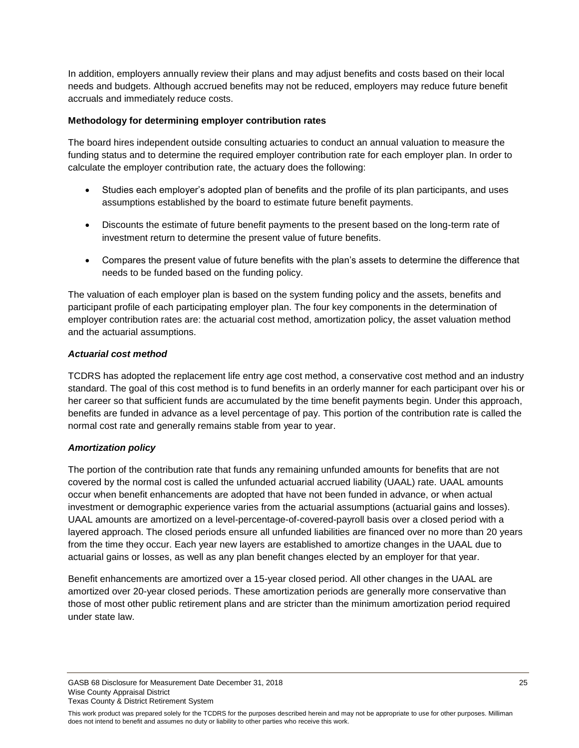In addition, employers annually review their plans and may adjust benefits and costs based on their local needs and budgets. Although accrued benefits may not be reduced, employers may reduce future benefit accruals and immediately reduce costs.

#### **Methodology for determining employer contribution rates**

The board hires independent outside consulting actuaries to conduct an annual valuation to measure the funding status and to determine the required employer contribution rate for each employer plan. In order to calculate the employer contribution rate, the actuary does the following:

- Studies each employer's adopted plan of benefits and the profile of its plan participants, and uses assumptions established by the board to estimate future benefit payments.
- Discounts the estimate of future benefit payments to the present based on the long-term rate of investment return to determine the present value of future benefits.
- Compares the present value of future benefits with the plan's assets to determine the difference that needs to be funded based on the funding policy.

The valuation of each employer plan is based on the system funding policy and the assets, benefits and participant profile of each participating employer plan. The four key components in the determination of employer contribution rates are: the actuarial cost method, amortization policy, the asset valuation method and the actuarial assumptions.

#### *Actuarial cost method*

TCDRS has adopted the replacement life entry age cost method, a conservative cost method and an industry standard. The goal of this cost method is to fund benefits in an orderly manner for each participant over his or her career so that sufficient funds are accumulated by the time benefit payments begin. Under this approach, benefits are funded in advance as a level percentage of pay. This portion of the contribution rate is called the normal cost rate and generally remains stable from year to year.

#### *Amortization policy*

The portion of the contribution rate that funds any remaining unfunded amounts for benefits that are not covered by the normal cost is called the unfunded actuarial accrued liability (UAAL) rate. UAAL amounts occur when benefit enhancements are adopted that have not been funded in advance, or when actual investment or demographic experience varies from the actuarial assumptions (actuarial gains and losses). UAAL amounts are amortized on a level-percentage-of-covered-payroll basis over a closed period with a layered approach. The closed periods ensure all unfunded liabilities are financed over no more than 20 years from the time they occur. Each year new layers are established to amortize changes in the UAAL due to actuarial gains or losses, as well as any plan benefit changes elected by an employer for that year.

Benefit enhancements are amortized over a 15-year closed period. All other changes in the UAAL are amortized over 20-year closed periods. These amortization periods are generally more conservative than those of most other public retirement plans and are stricter than the minimum amortization period required under state law.

GASB 68 Disclosure for Measurement Date December 31, 2018 25 Wise County Appraisal District Texas County & District Retirement System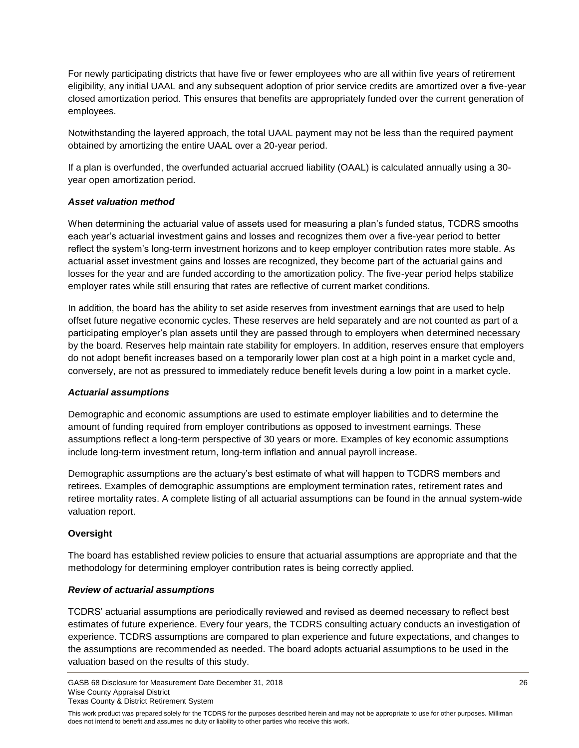For newly participating districts that have five or fewer employees who are all within five years of retirement eligibility, any initial UAAL and any subsequent adoption of prior service credits are amortized over a five-year closed amortization period. This ensures that benefits are appropriately funded over the current generation of employees.

Notwithstanding the layered approach, the total UAAL payment may not be less than the required payment obtained by amortizing the entire UAAL over a 20-year period.

If a plan is overfunded, the overfunded actuarial accrued liability (OAAL) is calculated annually using a 30 year open amortization period.

#### *Asset valuation method*

When determining the actuarial value of assets used for measuring a plan's funded status, TCDRS smooths each year's actuarial investment gains and losses and recognizes them over a five-year period to better reflect the system's long-term investment horizons and to keep employer contribution rates more stable. As actuarial asset investment gains and losses are recognized, they become part of the actuarial gains and losses for the year and are funded according to the amortization policy. The five-year period helps stabilize employer rates while still ensuring that rates are reflective of current market conditions.

In addition, the board has the ability to set aside reserves from investment earnings that are used to help offset future negative economic cycles. These reserves are held separately and are not counted as part of a participating employer's plan assets until they are passed through to employers when determined necessary by the board. Reserves help maintain rate stability for employers. In addition, reserves ensure that employers do not adopt benefit increases based on a temporarily lower plan cost at a high point in a market cycle and, conversely, are not as pressured to immediately reduce benefit levels during a low point in a market cycle.

#### *Actuarial assumptions*

Demographic and economic assumptions are used to estimate employer liabilities and to determine the amount of funding required from employer contributions as opposed to investment earnings. These assumptions reflect a long-term perspective of 30 years or more. Examples of key economic assumptions include long-term investment return, long-term inflation and annual payroll increase.

Demographic assumptions are the actuary's best estimate of what will happen to TCDRS members and retirees. Examples of demographic assumptions are employment termination rates, retirement rates and retiree mortality rates. A complete listing of all actuarial assumptions can be found in the annual system-wide valuation report.

#### **Oversight**

The board has established review policies to ensure that actuarial assumptions are appropriate and that the methodology for determining employer contribution rates is being correctly applied.

#### *Review of actuarial assumptions*

TCDRS' actuarial assumptions are periodically reviewed and revised as deemed necessary to reflect best estimates of future experience. Every four years, the TCDRS consulting actuary conducts an investigation of experience. TCDRS assumptions are compared to plan experience and future expectations, and changes to the assumptions are recommended as needed. The board adopts actuarial assumptions to be used in the valuation based on the results of this study.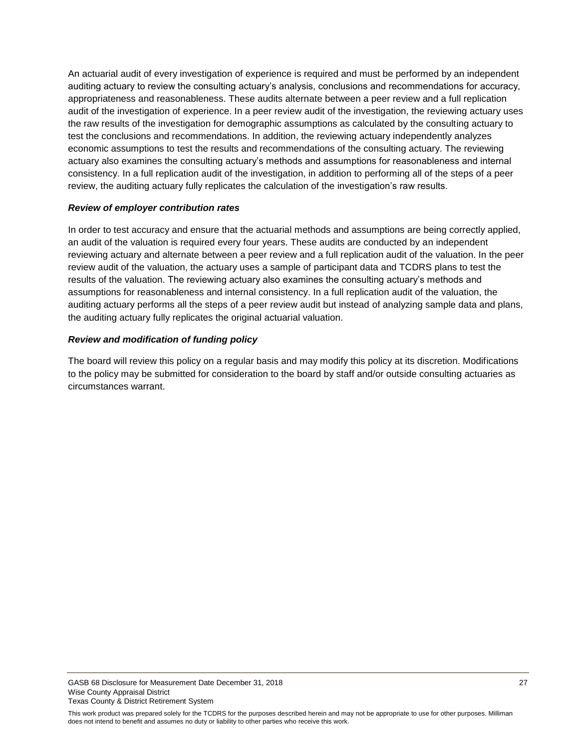An actuarial audit of every investigation of experience is required and must be performed by an independent auditing actuary to review the consulting actuary's analysis, conclusions and recommendations for accuracy, appropriateness and reasonableness. These audits alternate between a peer review and a full replication audit of the investigation of experience. In a peer review audit of the investigation, the reviewing actuary uses the raw results of the investigation for demographic assumptions as calculated by the consulting actuary to test the conclusions and recommendations. In addition, the reviewing actuary independently analyzes economic assumptions to test the results and recommendations of the consulting actuary. The reviewing actuary also examines the consulting actuary's methods and assumptions for reasonableness and internal consistency. In a full replication audit of the investigation, in addition to performing all of the steps of a peer review, the auditing actuary fully replicates the calculation of the investigation's raw results.

#### *Review of employer contribution rates*

In order to test accuracy and ensure that the actuarial methods and assumptions are being correctly applied, an audit of the valuation is required every four years. These audits are conducted by an independent reviewing actuary and alternate between a peer review and a full replication audit of the valuation. In the peer review audit of the valuation, the actuary uses a sample of participant data and TCDRS plans to test the results of the valuation. The reviewing actuary also examines the consulting actuary's methods and assumptions for reasonableness and internal consistency. In a full replication audit of the valuation, the auditing actuary performs all the steps of a peer review audit but instead of analyzing sample data and plans, the auditing actuary fully replicates the original actuarial valuation.

#### *Review and modification of funding policy*

The board will review this policy on a regular basis and may modify this policy at its discretion. Modifications to the policy may be submitted for consideration to the board by staff and/or outside consulting actuaries as circumstances warrant.